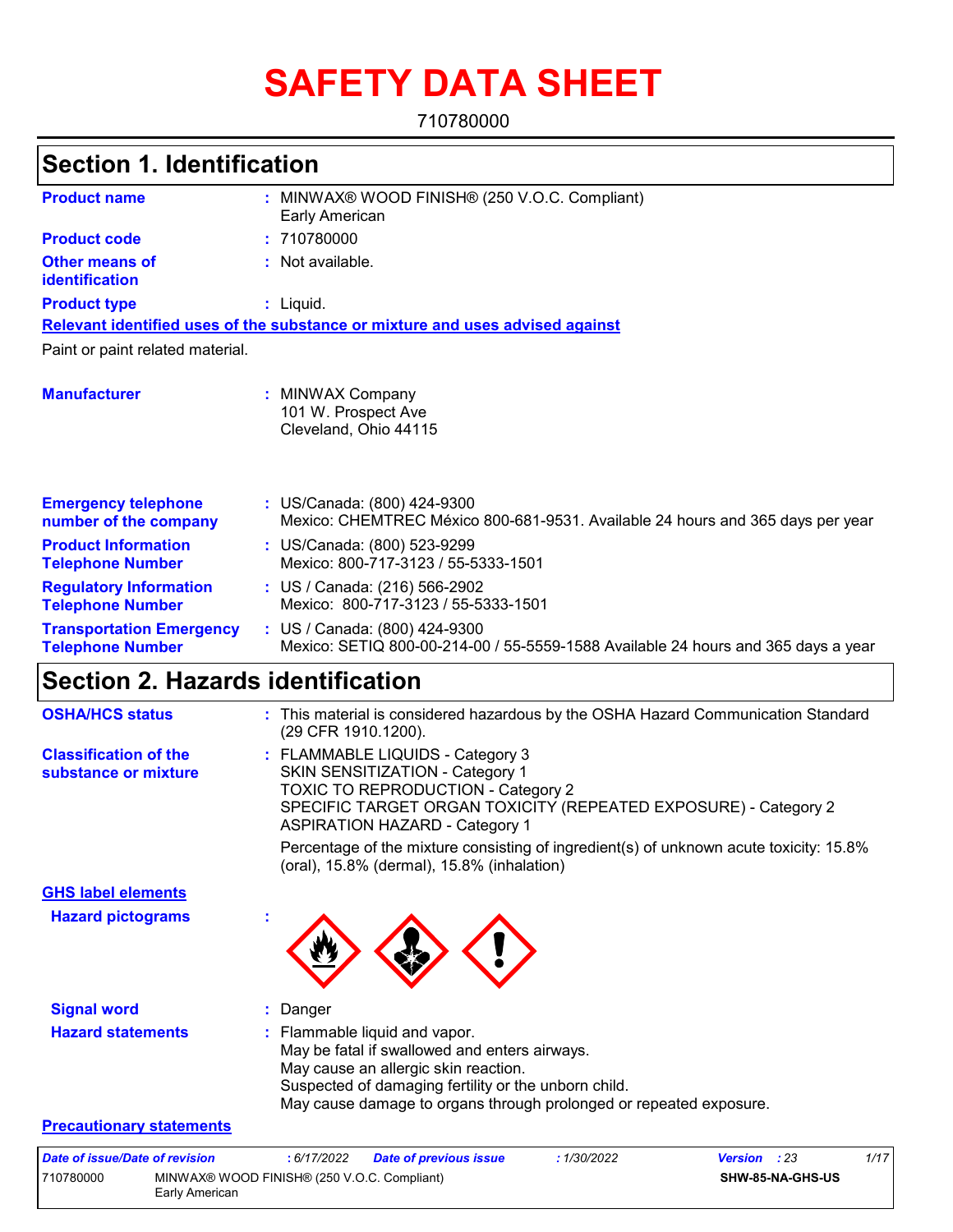# **SAFETY DATA SHEET**

710780000

#### MINWAX® WOOD FINISH® (250 V.O.C. Compliant) **:** Early American Not available. **:** Liquid. **:** US/Canada: (800) 424-9300 **:** Mexico: CHEMTREC México 800-681-9531. Available 24 hours and 365 days per year **Product name Other means of identification Product type Emergency telephone number of the company Section 1. Identification Manufacturer :** MINWAX Company 101 W. Prospect Ave Cleveland, Ohio 44115 **Relevant identified uses of the substance or mixture and uses advised against** Paint or paint related material. **Product code :** 710780000 **Product Information Telephone Number :** US/Canada: (800) 523-9299 Mexico: 800-717-3123 / 55-5333-1501 **Regulatory Information Telephone Number :** US / Canada: (216) 566-2902 Mexico: 800-717-3123 / 55-5333-1501 **Transportation Emergency Telephone Number :** US / Canada: (800) 424-9300 Mexico: SETIQ 800-00-214-00 / 55-5559-1588 Available 24 hours and 365 days a year **Section 2. Hazards identification OSHA/HCS status :** This material is considered hazardous by the OSHA Hazard Communication Standard

| <u>SSIMISS SMARI</u>                                 | <b>THIS MAGNOLISE IS CONSIGLED TO A HIGHER COLLUST</b> TO CONTINUES TO CONTINUES IS CONSIGLED<br>(29 CFR 1910.1200).                                                                                                                                 |
|------------------------------------------------------|------------------------------------------------------------------------------------------------------------------------------------------------------------------------------------------------------------------------------------------------------|
| <b>Classification of the</b><br>substance or mixture | : FLAMMABLE LIQUIDS - Category 3<br><b>SKIN SENSITIZATION - Category 1</b><br><b>TOXIC TO REPRODUCTION - Category 2</b><br>SPECIFIC TARGET ORGAN TOXICITY (REPEATED EXPOSURE) - Category 2<br><b>ASPIRATION HAZARD - Category 1</b>                  |
|                                                      | Percentage of the mixture consisting of ingredient(s) of unknown acute toxicity: 15.8%<br>(oral), 15.8% (dermal), 15.8% (inhalation)                                                                                                                 |
| <b>GHS label elements</b>                            |                                                                                                                                                                                                                                                      |
| <b>Hazard pictograms</b>                             |                                                                                                                                                                                                                                                      |
| <b>Signal word</b>                                   | : Danger                                                                                                                                                                                                                                             |
| <b>Hazard statements</b>                             | : Flammable liquid and vapor.<br>May be fatal if swallowed and enters airways.<br>May cause an allergic skin reaction.<br>Suspected of damaging fertility or the unborn child.<br>May cause damage to organs through prolonged or repeated exposure. |
| <b>Precautionary statements</b>                      |                                                                                                                                                                                                                                                      |
|                                                      |                                                                                                                                                                                                                                                      |

| Date of issue/Date of revision |                                             | : 6/17/2022 | Date of previous issue | 1/30/2022 | <b>Version</b> : 23 | 1/17 |
|--------------------------------|---------------------------------------------|-------------|------------------------|-----------|---------------------|------|
| 710780000                      | MINWAX® WOOD FINISH® (250 V.O.C. Compliant) |             |                        |           | SHW-85-NA-GHS-US    |      |
|                                | Early American                              |             |                        |           |                     |      |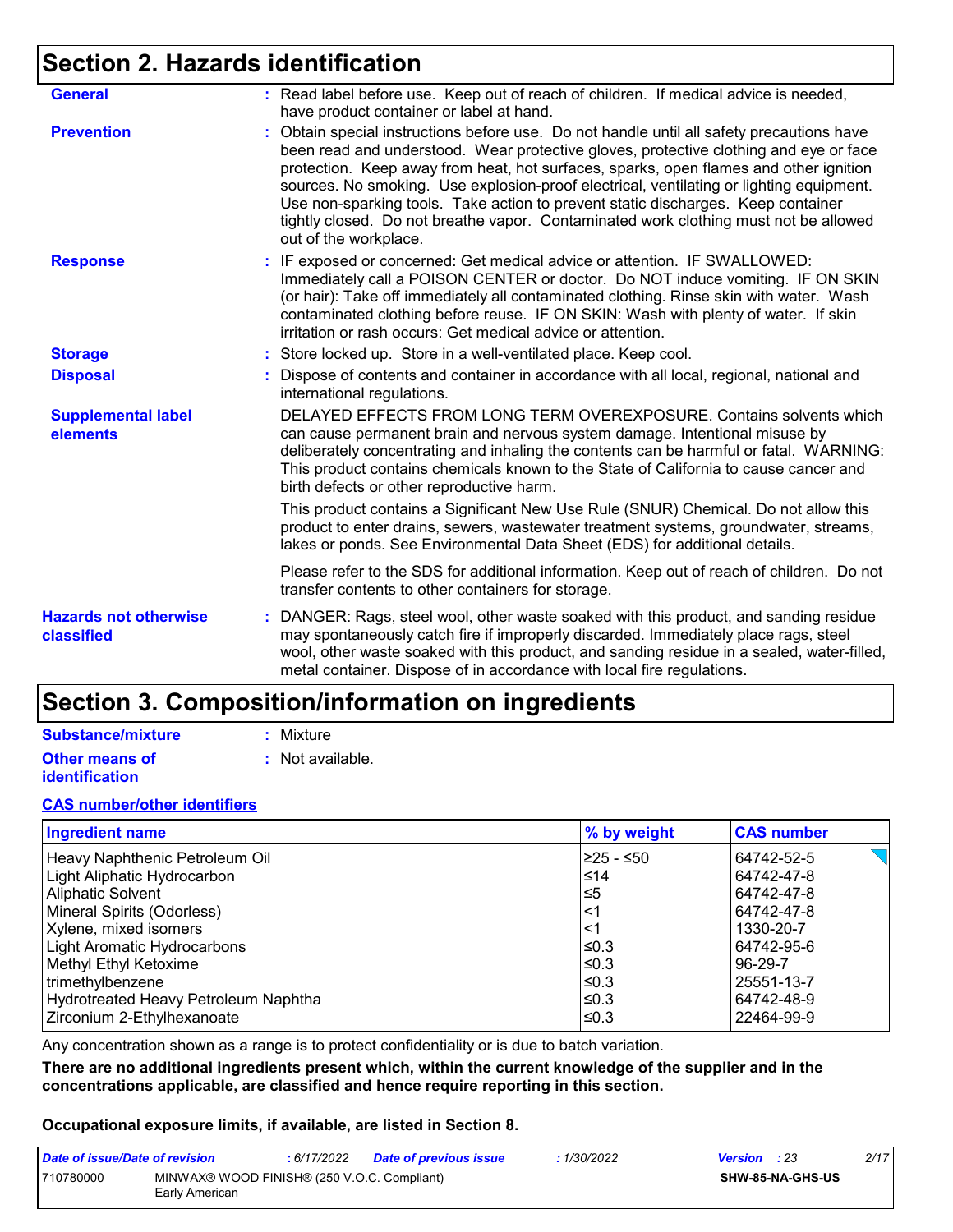# **Section 2. Hazards identification**

| <b>General</b>                             | : Read label before use. Keep out of reach of children. If medical advice is needed,<br>have product container or label at hand.                                                                                                                                                                                                                                                                                                                                                                                                                                          |
|--------------------------------------------|---------------------------------------------------------------------------------------------------------------------------------------------------------------------------------------------------------------------------------------------------------------------------------------------------------------------------------------------------------------------------------------------------------------------------------------------------------------------------------------------------------------------------------------------------------------------------|
| <b>Prevention</b>                          | Obtain special instructions before use. Do not handle until all safety precautions have<br>been read and understood. Wear protective gloves, protective clothing and eye or face<br>protection. Keep away from heat, hot surfaces, sparks, open flames and other ignition<br>sources. No smoking. Use explosion-proof electrical, ventilating or lighting equipment.<br>Use non-sparking tools. Take action to prevent static discharges. Keep container<br>tightly closed. Do not breathe vapor. Contaminated work clothing must not be allowed<br>out of the workplace. |
| <b>Response</b>                            | : IF exposed or concerned: Get medical advice or attention. IF SWALLOWED:<br>Immediately call a POISON CENTER or doctor. Do NOT induce vomiting. IF ON SKIN<br>(or hair): Take off immediately all contaminated clothing. Rinse skin with water. Wash<br>contaminated clothing before reuse. IF ON SKIN: Wash with plenty of water. If skin<br>irritation or rash occurs: Get medical advice or attention.                                                                                                                                                                |
| <b>Storage</b>                             | : Store locked up. Store in a well-ventilated place. Keep cool.                                                                                                                                                                                                                                                                                                                                                                                                                                                                                                           |
| <b>Disposal</b>                            | Dispose of contents and container in accordance with all local, regional, national and<br>international regulations.                                                                                                                                                                                                                                                                                                                                                                                                                                                      |
| <b>Supplemental label</b><br>elements      | DELAYED EFFECTS FROM LONG TERM OVEREXPOSURE. Contains solvents which<br>can cause permanent brain and nervous system damage. Intentional misuse by<br>deliberately concentrating and inhaling the contents can be harmful or fatal. WARNING:<br>This product contains chemicals known to the State of California to cause cancer and<br>birth defects or other reproductive harm.                                                                                                                                                                                         |
|                                            | This product contains a Significant New Use Rule (SNUR) Chemical. Do not allow this<br>product to enter drains, sewers, wastewater treatment systems, groundwater, streams,<br>lakes or ponds. See Environmental Data Sheet (EDS) for additional details.                                                                                                                                                                                                                                                                                                                 |
|                                            | Please refer to the SDS for additional information. Keep out of reach of children. Do not<br>transfer contents to other containers for storage.                                                                                                                                                                                                                                                                                                                                                                                                                           |
| <b>Hazards not otherwise</b><br>classified | DANGER: Rags, steel wool, other waste soaked with this product, and sanding residue<br>t.<br>may spontaneously catch fire if improperly discarded. Immediately place rags, steel<br>wool, other waste soaked with this product, and sanding residue in a sealed, water-filled,<br>metal container. Dispose of in accordance with local fire regulations.                                                                                                                                                                                                                  |

# **Section 3. Composition/information on ingredients**

#### **Substance/mixture**

**Other means of identification**

- **:** Mixture
- **:** Not available.

#### **CAS number/other identifiers**

| <b>Ingredient name</b>               | % by weight | <b>CAS number</b> |
|--------------------------------------|-------------|-------------------|
| Heavy Naphthenic Petroleum Oil       | 225 - ≤50   | 64742-52-5        |
| Light Aliphatic Hydrocarbon          | $\leq 14$   | 64742-47-8        |
| Aliphatic Solvent                    | l≤5         | 64742-47-8        |
| Mineral Spirits (Odorless)           | $\leq$ 1    | 64742-47-8        |
| Xylene, mixed isomers                | $\leq$ 1    | 1330-20-7         |
| Light Aromatic Hydrocarbons          | ≤0.3        | 64742-95-6        |
| Methyl Ethyl Ketoxime                | l≤0.3       | 96-29-7           |
| trimethylbenzene                     | l≤0.3       | 25551-13-7        |
| Hydrotreated Heavy Petroleum Naphtha | l≤0.3       | 64742-48-9        |
| Zirconium 2-Ethylhexanoate           | l≤0.3       | 22464-99-9        |

Any concentration shown as a range is to protect confidentiality or is due to batch variation.

**There are no additional ingredients present which, within the current knowledge of the supplier and in the concentrations applicable, are classified and hence require reporting in this section.**

#### **Occupational exposure limits, if available, are listed in Section 8.**

| Date of issue/Date of revision |                                                               | : 6/17/2022 | Date of previous issue | 1/30/2022 | <b>Version</b> : 23 |                         | 2/17 |
|--------------------------------|---------------------------------------------------------------|-------------|------------------------|-----------|---------------------|-------------------------|------|
| 710780000                      | MINWAX® WOOD FINISH® (250 V.O.C. Compliant)<br>Early American |             |                        |           |                     | <b>SHW-85-NA-GHS-US</b> |      |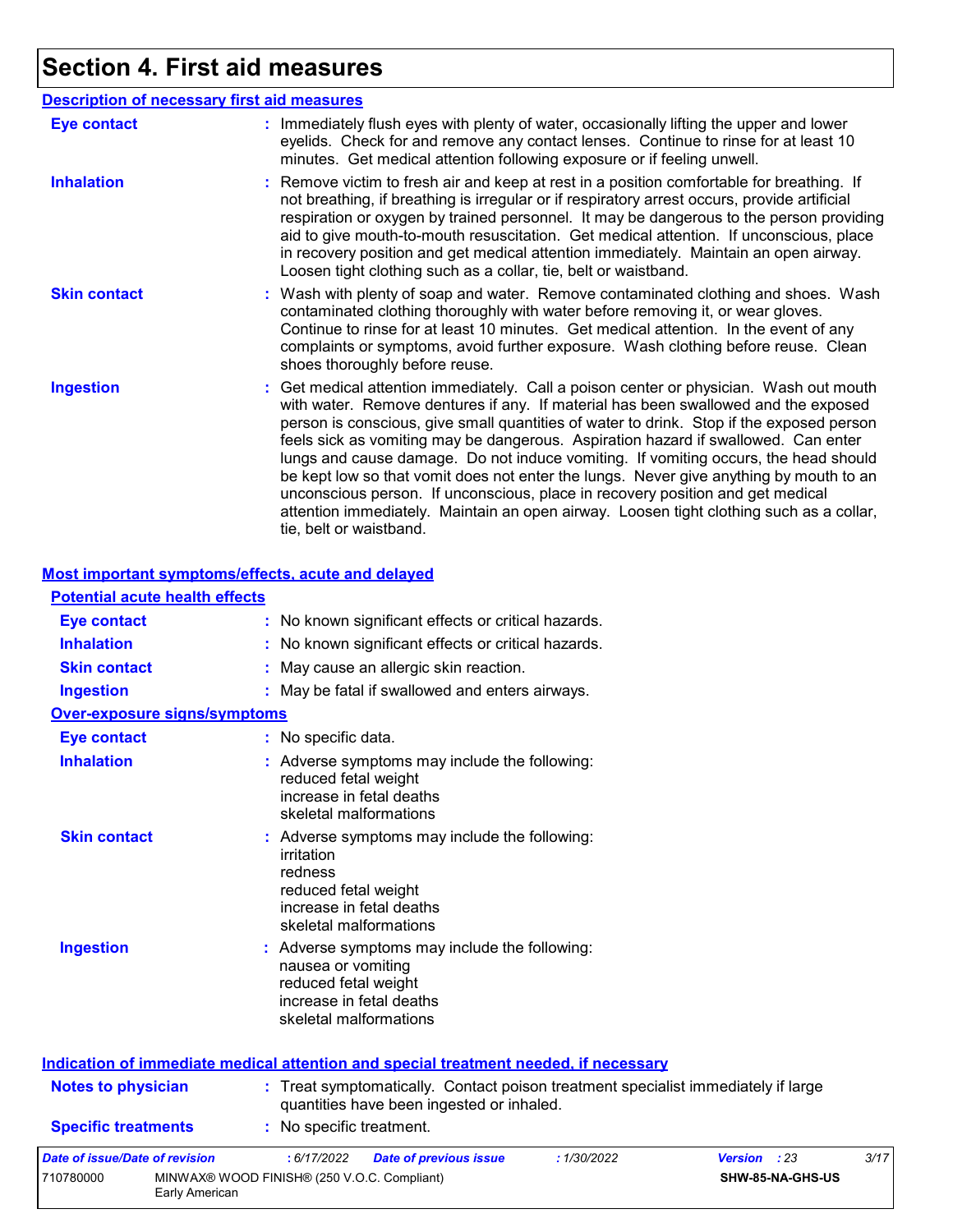# **Section 4. First aid measures**

| <b>Description of necessary first aid measures</b> |                                                                                                                                                                                                                                                                                                                                                                                                                                                                                                                                                                                                                                                                                                                                                         |
|----------------------------------------------------|---------------------------------------------------------------------------------------------------------------------------------------------------------------------------------------------------------------------------------------------------------------------------------------------------------------------------------------------------------------------------------------------------------------------------------------------------------------------------------------------------------------------------------------------------------------------------------------------------------------------------------------------------------------------------------------------------------------------------------------------------------|
| <b>Eye contact</b>                                 | : Immediately flush eyes with plenty of water, occasionally lifting the upper and lower<br>eyelids. Check for and remove any contact lenses. Continue to rinse for at least 10<br>minutes. Get medical attention following exposure or if feeling unwell.                                                                                                                                                                                                                                                                                                                                                                                                                                                                                               |
| <b>Inhalation</b>                                  | : Remove victim to fresh air and keep at rest in a position comfortable for breathing. If<br>not breathing, if breathing is irregular or if respiratory arrest occurs, provide artificial<br>respiration or oxygen by trained personnel. It may be dangerous to the person providing<br>aid to give mouth-to-mouth resuscitation. Get medical attention. If unconscious, place<br>in recovery position and get medical attention immediately. Maintain an open airway.<br>Loosen tight clothing such as a collar, tie, belt or waistband.                                                                                                                                                                                                               |
| <b>Skin contact</b>                                | : Wash with plenty of soap and water. Remove contaminated clothing and shoes. Wash<br>contaminated clothing thoroughly with water before removing it, or wear gloves.<br>Continue to rinse for at least 10 minutes. Get medical attention. In the event of any<br>complaints or symptoms, avoid further exposure. Wash clothing before reuse. Clean<br>shoes thoroughly before reuse.                                                                                                                                                                                                                                                                                                                                                                   |
| <b>Ingestion</b>                                   | : Get medical attention immediately. Call a poison center or physician. Wash out mouth<br>with water. Remove dentures if any. If material has been swallowed and the exposed<br>person is conscious, give small quantities of water to drink. Stop if the exposed person<br>feels sick as vomiting may be dangerous. Aspiration hazard if swallowed. Can enter<br>lungs and cause damage. Do not induce vomiting. If vomiting occurs, the head should<br>be kept low so that vomit does not enter the lungs. Never give anything by mouth to an<br>unconscious person. If unconscious, place in recovery position and get medical<br>attention immediately. Maintain an open airway. Loosen tight clothing such as a collar,<br>tie, belt or waistband. |

#### **Most important symptoms/effects, acute and delayed**

| <b>Potential acute health effects</b> |
|---------------------------------------|
|---------------------------------------|

| Eye contact                                                   | : No known significant effects or critical hazards.                                                                                                    |
|---------------------------------------------------------------|--------------------------------------------------------------------------------------------------------------------------------------------------------|
| <b>Inhalation</b>                                             | No known significant effects or critical hazards.                                                                                                      |
| <b>Skin contact</b>                                           | May cause an allergic skin reaction.                                                                                                                   |
| <b>Ingestion</b>                                              | : May be fatal if swallowed and enters airways.                                                                                                        |
| <b>Over-exposure signs/symptoms</b>                           |                                                                                                                                                        |
| <b>Eye contact</b>                                            | : No specific data.                                                                                                                                    |
| <b>Inhalation</b>                                             | : Adverse symptoms may include the following:<br>reduced fetal weight<br>increase in fetal deaths<br>skeletal malformations                            |
| <b>Skin contact</b>                                           | : Adverse symptoms may include the following:<br>irritation<br>redness<br>reduced fetal weight<br>increase in fetal deaths<br>skeletal malformations   |
| <b>Ingestion</b>                                              | : Adverse symptoms may include the following:<br>nausea or vomiting<br>reduced fetal weight<br>increase in fetal deaths<br>skeletal malformations      |
|                                                               | Indication of immediate medical attention and special treatment needed, if necessary                                                                   |
| <b>Notes to physician</b>                                     | : Treat symptomatically. Contact poison treatment specialist immediately if large<br>quantities have been ingested or inhaled.                         |
| <b>Specific treatments</b>                                    | : No specific treatment.                                                                                                                               |
| Date of issue/Date of revision<br>710780000<br>Early American | : 6/17/2022<br>: 1/30/2022<br>Version : 23<br>3/17<br><b>Date of previous issue</b><br>SHW-85-NA-GHS-US<br>MINWAX® WOOD FINISH® (250 V.O.C. Compliant) |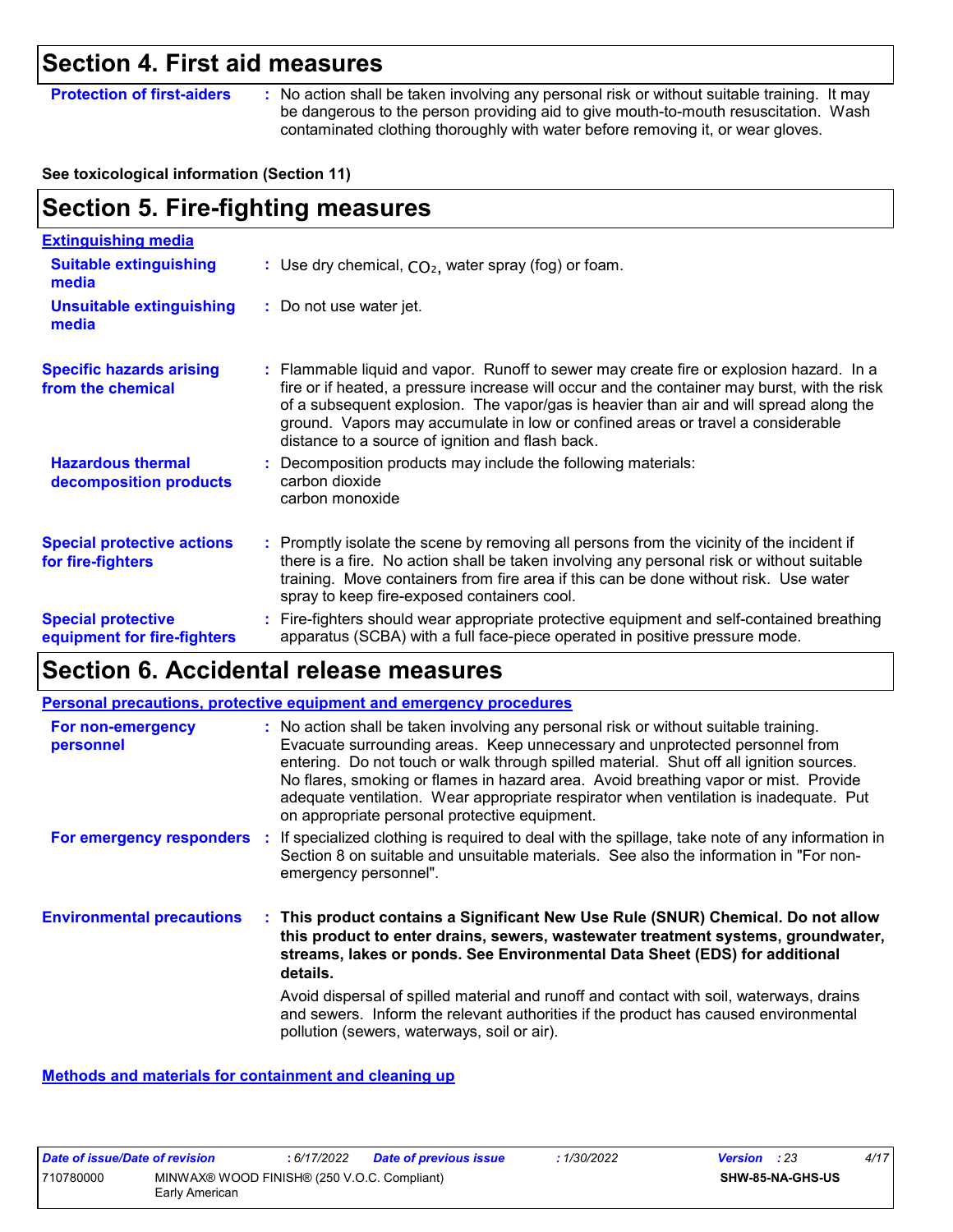### **Section 4. First aid measures**

**Protection of first-aiders** : No action shall be taken involving any personal risk or without suitable training. It may be dangerous to the person providing aid to give mouth-to-mouth resuscitation. Wash contaminated clothing thoroughly with water before removing it, or wear gloves.

#### **See toxicological information (Section 11)**

# **Section 5. Fire-fighting measures**

| <b>Extinguishing media</b>                               |                                                                                                                                                                                                                                                                                                                                                                                                                          |
|----------------------------------------------------------|--------------------------------------------------------------------------------------------------------------------------------------------------------------------------------------------------------------------------------------------------------------------------------------------------------------------------------------------------------------------------------------------------------------------------|
| <b>Suitable extinguishing</b><br>media                   | : Use dry chemical, $CO2$ , water spray (fog) or foam.                                                                                                                                                                                                                                                                                                                                                                   |
| <b>Unsuitable extinguishing</b><br>media                 | : Do not use water jet.                                                                                                                                                                                                                                                                                                                                                                                                  |
| <b>Specific hazards arising</b><br>from the chemical     | : Flammable liquid and vapor. Runoff to sewer may create fire or explosion hazard. In a<br>fire or if heated, a pressure increase will occur and the container may burst, with the risk<br>of a subsequent explosion. The vapor/gas is heavier than air and will spread along the<br>ground. Vapors may accumulate in low or confined areas or travel a considerable<br>distance to a source of ignition and flash back. |
| <b>Hazardous thermal</b><br>decomposition products       | Decomposition products may include the following materials:<br>carbon dioxide<br>carbon monoxide                                                                                                                                                                                                                                                                                                                         |
| <b>Special protective actions</b><br>for fire-fighters   | : Promptly isolate the scene by removing all persons from the vicinity of the incident if<br>there is a fire. No action shall be taken involving any personal risk or without suitable<br>training. Move containers from fire area if this can be done without risk. Use water<br>spray to keep fire-exposed containers cool.                                                                                            |
| <b>Special protective</b><br>equipment for fire-fighters | : Fire-fighters should wear appropriate protective equipment and self-contained breathing<br>apparatus (SCBA) with a full face-piece operated in positive pressure mode.                                                                                                                                                                                                                                                 |

### **Section 6. Accidental release measures**

|                                  | <b>Personal precautions, protective equipment and emergency procedures</b>                                                                                                                                                                                                                                                                                                                                                                                                                      |
|----------------------------------|-------------------------------------------------------------------------------------------------------------------------------------------------------------------------------------------------------------------------------------------------------------------------------------------------------------------------------------------------------------------------------------------------------------------------------------------------------------------------------------------------|
| For non-emergency<br>personnel   | : No action shall be taken involving any personal risk or without suitable training.<br>Evacuate surrounding areas. Keep unnecessary and unprotected personnel from<br>entering. Do not touch or walk through spilled material. Shut off all ignition sources.<br>No flares, smoking or flames in hazard area. Avoid breathing vapor or mist. Provide<br>adequate ventilation. Wear appropriate respirator when ventilation is inadequate. Put<br>on appropriate personal protective equipment. |
| For emergency responders         | : If specialized clothing is required to deal with the spillage, take note of any information in<br>Section 8 on suitable and unsuitable materials. See also the information in "For non-<br>emergency personnel".                                                                                                                                                                                                                                                                              |
| <b>Environmental precautions</b> | : This product contains a Significant New Use Rule (SNUR) Chemical. Do not allow<br>this product to enter drains, sewers, wastewater treatment systems, groundwater,<br>streams, lakes or ponds. See Environmental Data Sheet (EDS) for additional<br>details.                                                                                                                                                                                                                                  |
|                                  | Avoid dispersal of spilled material and runoff and contact with soil, waterways, drains<br>and sewers. Inform the relevant authorities if the product has caused environmental<br>pollution (sewers, waterways, soil or air).                                                                                                                                                                                                                                                                   |

**Methods and materials for containment and cleaning up**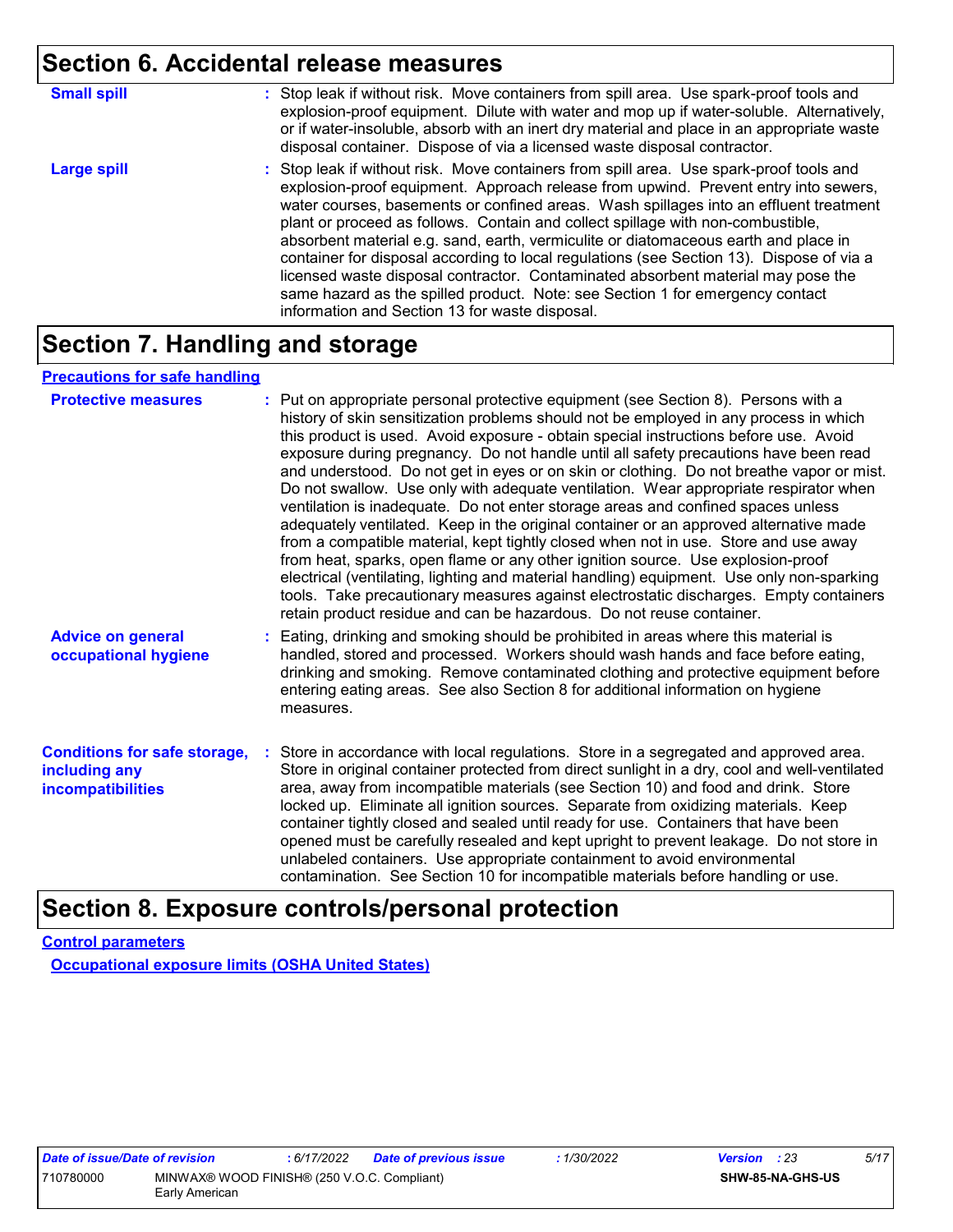### **Section 6. Accidental release measures**

| <b>Small spill</b> | : Stop leak if without risk. Move containers from spill area. Use spark-proof tools and<br>explosion-proof equipment. Dilute with water and mop up if water-soluble. Alternatively,<br>or if water-insoluble, absorb with an inert dry material and place in an appropriate waste<br>disposal container. Dispose of via a licensed waste disposal contractor.                                                                                                                                                                                                                                                                                                                                                                                                        |
|--------------------|----------------------------------------------------------------------------------------------------------------------------------------------------------------------------------------------------------------------------------------------------------------------------------------------------------------------------------------------------------------------------------------------------------------------------------------------------------------------------------------------------------------------------------------------------------------------------------------------------------------------------------------------------------------------------------------------------------------------------------------------------------------------|
| <b>Large spill</b> | : Stop leak if without risk. Move containers from spill area. Use spark-proof tools and<br>explosion-proof equipment. Approach release from upwind. Prevent entry into sewers,<br>water courses, basements or confined areas. Wash spillages into an effluent treatment<br>plant or proceed as follows. Contain and collect spillage with non-combustible,<br>absorbent material e.g. sand, earth, vermiculite or diatomaceous earth and place in<br>container for disposal according to local regulations (see Section 13). Dispose of via a<br>licensed waste disposal contractor. Contaminated absorbent material may pose the<br>same hazard as the spilled product. Note: see Section 1 for emergency contact<br>information and Section 13 for waste disposal. |

# **Section 7. Handling and storage**

#### **Precautions for safe handling**

| <b>Protective measures</b>                                                       | : Put on appropriate personal protective equipment (see Section 8). Persons with a<br>history of skin sensitization problems should not be employed in any process in which<br>this product is used. Avoid exposure - obtain special instructions before use. Avoid<br>exposure during pregnancy. Do not handle until all safety precautions have been read<br>and understood. Do not get in eyes or on skin or clothing. Do not breathe vapor or mist.<br>Do not swallow. Use only with adequate ventilation. Wear appropriate respirator when<br>ventilation is inadequate. Do not enter storage areas and confined spaces unless<br>adequately ventilated. Keep in the original container or an approved alternative made<br>from a compatible material, kept tightly closed when not in use. Store and use away<br>from heat, sparks, open flame or any other ignition source. Use explosion-proof<br>electrical (ventilating, lighting and material handling) equipment. Use only non-sparking<br>tools. Take precautionary measures against electrostatic discharges. Empty containers<br>retain product residue and can be hazardous. Do not reuse container. |
|----------------------------------------------------------------------------------|----------------------------------------------------------------------------------------------------------------------------------------------------------------------------------------------------------------------------------------------------------------------------------------------------------------------------------------------------------------------------------------------------------------------------------------------------------------------------------------------------------------------------------------------------------------------------------------------------------------------------------------------------------------------------------------------------------------------------------------------------------------------------------------------------------------------------------------------------------------------------------------------------------------------------------------------------------------------------------------------------------------------------------------------------------------------------------------------------------------------------------------------------------------------|
| <b>Advice on general</b><br>occupational hygiene                                 | : Eating, drinking and smoking should be prohibited in areas where this material is<br>handled, stored and processed. Workers should wash hands and face before eating,<br>drinking and smoking. Remove contaminated clothing and protective equipment before<br>entering eating areas. See also Section 8 for additional information on hygiene<br>measures.                                                                                                                                                                                                                                                                                                                                                                                                                                                                                                                                                                                                                                                                                                                                                                                                        |
| <b>Conditions for safe storage,</b><br>including any<br><b>incompatibilities</b> | : Store in accordance with local regulations. Store in a segregated and approved area.<br>Store in original container protected from direct sunlight in a dry, cool and well-ventilated<br>area, away from incompatible materials (see Section 10) and food and drink. Store<br>locked up. Eliminate all ignition sources. Separate from oxidizing materials. Keep<br>container tightly closed and sealed until ready for use. Containers that have been<br>opened must be carefully resealed and kept upright to prevent leakage. Do not store in<br>unlabeled containers. Use appropriate containment to avoid environmental<br>contamination. See Section 10 for incompatible materials before handling or use.                                                                                                                                                                                                                                                                                                                                                                                                                                                   |

### **Section 8. Exposure controls/personal protection**

**Control parameters**

**Occupational exposure limits (OSHA United States)**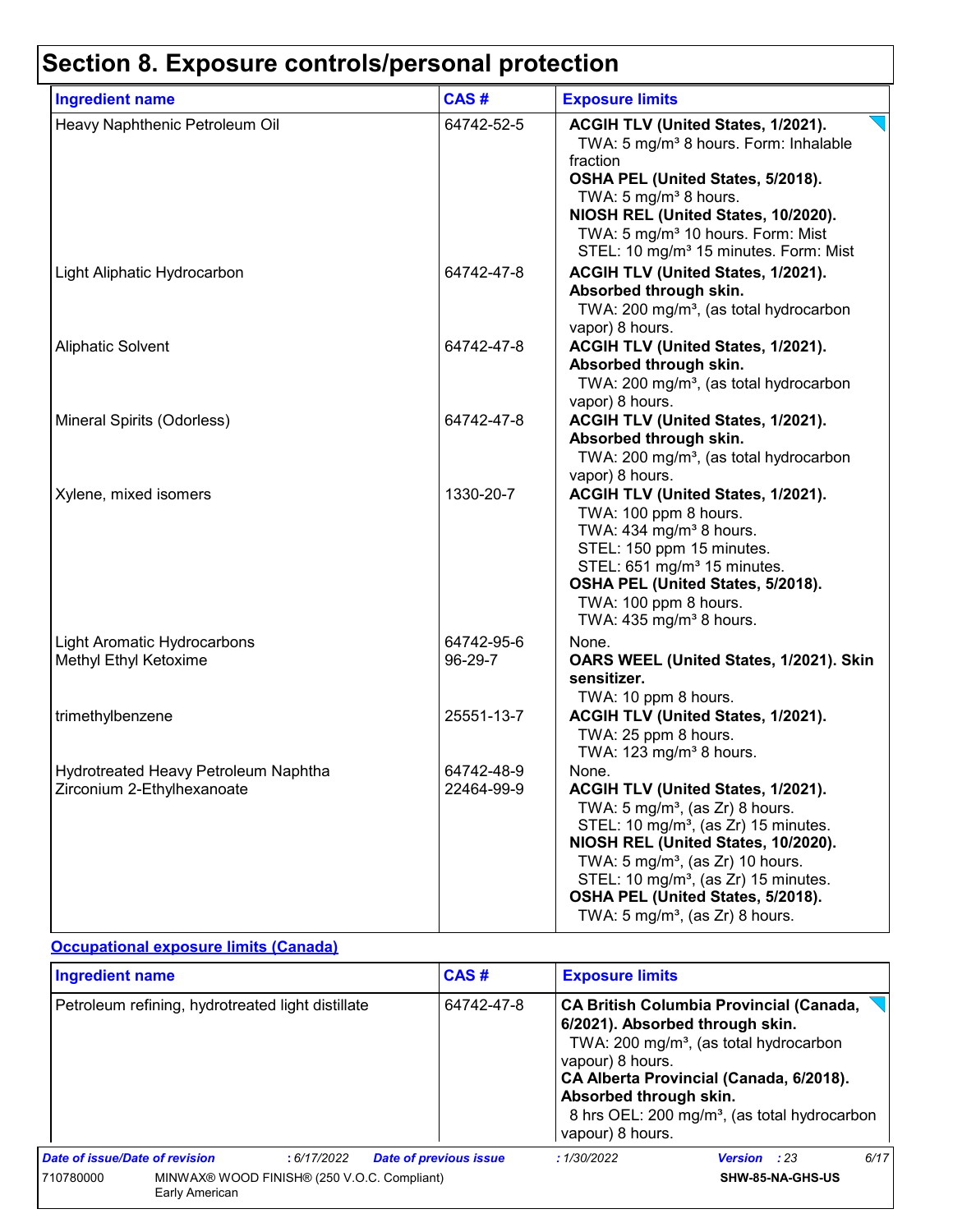| <b>Ingredient name</b>                                             | CAS#                     | <b>Exposure limits</b>                                                                                                                                                                                                                                                                                                                                                      |
|--------------------------------------------------------------------|--------------------------|-----------------------------------------------------------------------------------------------------------------------------------------------------------------------------------------------------------------------------------------------------------------------------------------------------------------------------------------------------------------------------|
| Heavy Naphthenic Petroleum Oil                                     | 64742-52-5               | ACGIH TLV (United States, 1/2021).<br>TWA: 5 mg/m <sup>3</sup> 8 hours. Form: Inhalable<br>fraction<br>OSHA PEL (United States, 5/2018).<br>TWA: 5 mg/m <sup>3</sup> 8 hours.<br>NIOSH REL (United States, 10/2020).<br>TWA: 5 mg/m <sup>3</sup> 10 hours. Form: Mist<br>STEL: 10 mg/m <sup>3</sup> 15 minutes. Form: Mist                                                  |
| Light Aliphatic Hydrocarbon                                        | 64742-47-8               | ACGIH TLV (United States, 1/2021).<br>Absorbed through skin.<br>TWA: 200 mg/m <sup>3</sup> , (as total hydrocarbon<br>vapor) 8 hours.                                                                                                                                                                                                                                       |
| <b>Aliphatic Solvent</b>                                           | 64742-47-8               | ACGIH TLV (United States, 1/2021).<br>Absorbed through skin.<br>TWA: 200 mg/m <sup>3</sup> , (as total hydrocarbon<br>vapor) 8 hours.                                                                                                                                                                                                                                       |
| Mineral Spirits (Odorless)                                         | 64742-47-8               | ACGIH TLV (United States, 1/2021).<br>Absorbed through skin.<br>TWA: 200 mg/m <sup>3</sup> , (as total hydrocarbon<br>vapor) 8 hours.                                                                                                                                                                                                                                       |
| Xylene, mixed isomers                                              | 1330-20-7                | ACGIH TLV (United States, 1/2021).<br>TWA: 100 ppm 8 hours.<br>TWA: 434 mg/m <sup>3</sup> 8 hours.<br>STEL: 150 ppm 15 minutes.<br>STEL: 651 mg/m <sup>3</sup> 15 minutes.<br>OSHA PEL (United States, 5/2018).<br>TWA: 100 ppm 8 hours.<br>TWA: 435 mg/m <sup>3</sup> 8 hours.                                                                                             |
| Light Aromatic Hydrocarbons<br>Methyl Ethyl Ketoxime               | 64742-95-6<br>96-29-7    | None.<br>OARS WEEL (United States, 1/2021). Skin<br>sensitizer.<br>TWA: 10 ppm 8 hours.                                                                                                                                                                                                                                                                                     |
| trimethylbenzene                                                   | 25551-13-7               | ACGIH TLV (United States, 1/2021).<br>TWA: 25 ppm 8 hours.<br>TWA: 123 mg/m <sup>3</sup> 8 hours.                                                                                                                                                                                                                                                                           |
| Hydrotreated Heavy Petroleum Naphtha<br>Zirconium 2-Ethylhexanoate | 64742-48-9<br>22464-99-9 | None.<br>ACGIH TLV (United States, 1/2021).<br>TWA: 5 mg/m <sup>3</sup> , (as Zr) 8 hours.<br>STEL: 10 mg/m <sup>3</sup> , (as Zr) 15 minutes.<br>NIOSH REL (United States, 10/2020).<br>TWA: $5 \text{ mg/m}^3$ , (as Zr) 10 hours.<br>STEL: 10 mg/m <sup>3</sup> , (as Zr) 15 minutes.<br>OSHA PEL (United States, 5/2018).<br>TWA: $5 \text{ mg/m}^3$ , (as Zr) 8 hours. |

#### **Occupational exposure limits (Canada)**

| <b>Ingredient name</b>                                                     |  | CAS#       | <b>Exposure limits</b>                                         |                                                                                                                                                                                                                                                |            |              |      |
|----------------------------------------------------------------------------|--|------------|----------------------------------------------------------------|------------------------------------------------------------------------------------------------------------------------------------------------------------------------------------------------------------------------------------------------|------------|--------------|------|
| Petroleum refining, hydrotreated light distillate                          |  | 64742-47-8 | vapour) 8 hours.<br>Absorbed through skin.<br>vapour) 8 hours. | <b>CA British Columbia Provincial (Canada,</b><br>6/2021). Absorbed through skin.<br>TWA: 200 mg/m <sup>3</sup> , (as total hydrocarbon<br>CA Alberta Provincial (Canada, 6/2018).<br>8 hrs OEL: 200 mg/m <sup>3</sup> , (as total hydrocarbon |            |              |      |
| Date of issue/Date of revision                                             |  | :6/17/2022 | <b>Date of previous issue</b>                                  |                                                                                                                                                                                                                                                | :1/30/2022 | Version : 23 | 6/17 |
| MINWAX® WOOD FINISH® (250 V.O.C. Compliant)<br>710780000<br>Early American |  |            | SHW-85-NA-GHS-US                                               |                                                                                                                                                                                                                                                |            |              |      |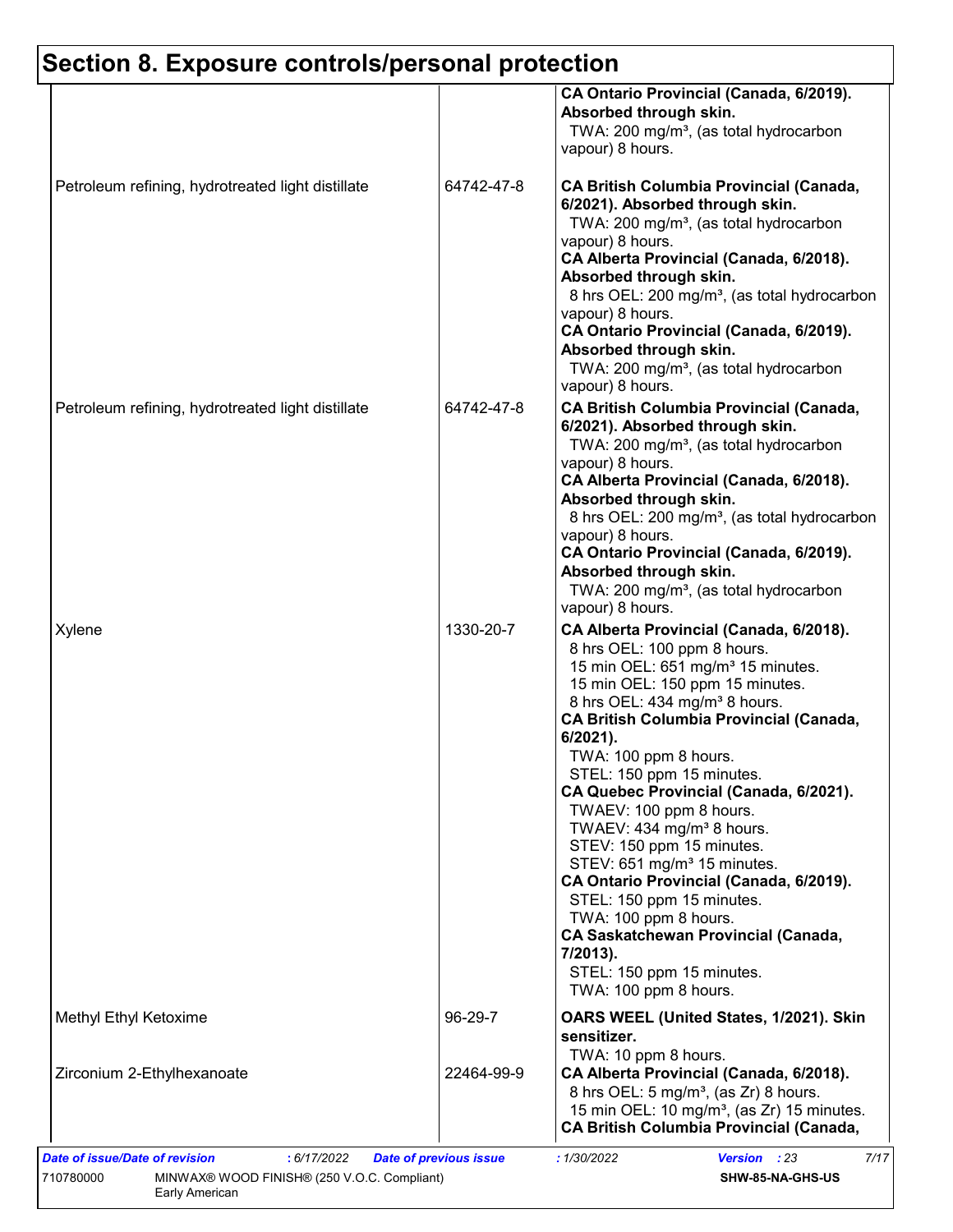|                                                   |            | CA Ontario Provincial (Canada, 6/2019).<br>Absorbed through skin.<br>TWA: 200 mg/m <sup>3</sup> , (as total hydrocarbon<br>vapour) 8 hours.                                                                                                                                                                                                                                                                                                                                                                                                                                                                                                                                                                                           |
|---------------------------------------------------|------------|---------------------------------------------------------------------------------------------------------------------------------------------------------------------------------------------------------------------------------------------------------------------------------------------------------------------------------------------------------------------------------------------------------------------------------------------------------------------------------------------------------------------------------------------------------------------------------------------------------------------------------------------------------------------------------------------------------------------------------------|
| Petroleum refining, hydrotreated light distillate | 64742-47-8 | <b>CA British Columbia Provincial (Canada,</b><br>6/2021). Absorbed through skin.<br>TWA: 200 mg/m <sup>3</sup> , (as total hydrocarbon<br>vapour) 8 hours.<br>CA Alberta Provincial (Canada, 6/2018).<br>Absorbed through skin.<br>8 hrs OEL: 200 mg/m <sup>3</sup> , (as total hydrocarbon<br>vapour) 8 hours.<br>CA Ontario Provincial (Canada, 6/2019).<br>Absorbed through skin.<br>TWA: 200 mg/m <sup>3</sup> , (as total hydrocarbon<br>vapour) 8 hours.                                                                                                                                                                                                                                                                       |
| Petroleum refining, hydrotreated light distillate | 64742-47-8 | <b>CA British Columbia Provincial (Canada,</b><br>6/2021). Absorbed through skin.<br>TWA: 200 mg/m <sup>3</sup> , (as total hydrocarbon<br>vapour) 8 hours.<br>CA Alberta Provincial (Canada, 6/2018).<br>Absorbed through skin.<br>8 hrs OEL: 200 mg/m <sup>3</sup> , (as total hydrocarbon<br>vapour) 8 hours.<br>CA Ontario Provincial (Canada, 6/2019).<br>Absorbed through skin.<br>TWA: 200 mg/m <sup>3</sup> , (as total hydrocarbon<br>vapour) 8 hours.                                                                                                                                                                                                                                                                       |
| Xylene                                            | 1330-20-7  | CA Alberta Provincial (Canada, 6/2018).<br>8 hrs OEL: 100 ppm 8 hours.<br>15 min OEL: 651 mg/m <sup>3</sup> 15 minutes.<br>15 min OEL: 150 ppm 15 minutes.<br>8 hrs OEL: 434 mg/m <sup>3</sup> 8 hours.<br><b>CA British Columbia Provincial (Canada,</b><br>$6/2021$ ).<br>TWA: 100 ppm 8 hours.<br>STEL: 150 ppm 15 minutes.<br>CA Quebec Provincial (Canada, 6/2021).<br>TWAEV: 100 ppm 8 hours.<br>TWAEV: 434 mg/m <sup>3</sup> 8 hours.<br>STEV: 150 ppm 15 minutes.<br>STEV: 651 mg/m <sup>3</sup> 15 minutes.<br>CA Ontario Provincial (Canada, 6/2019).<br>STEL: 150 ppm 15 minutes.<br>TWA: 100 ppm 8 hours.<br><b>CA Saskatchewan Provincial (Canada,</b><br>7/2013).<br>STEL: 150 ppm 15 minutes.<br>TWA: 100 ppm 8 hours. |
| Methyl Ethyl Ketoxime                             | 96-29-7    | OARS WEEL (United States, 1/2021). Skin<br>sensitizer.<br>TWA: 10 ppm 8 hours.                                                                                                                                                                                                                                                                                                                                                                                                                                                                                                                                                                                                                                                        |
| Zirconium 2-Ethylhexanoate                        | 22464-99-9 | CA Alberta Provincial (Canada, 6/2018).<br>8 hrs OEL: 5 mg/m <sup>3</sup> , (as Zr) 8 hours.<br>15 min OEL: 10 mg/m <sup>3</sup> , (as Zr) 15 minutes.<br><b>CA British Columbia Provincial (Canada,</b>                                                                                                                                                                                                                                                                                                                                                                                                                                                                                                                              |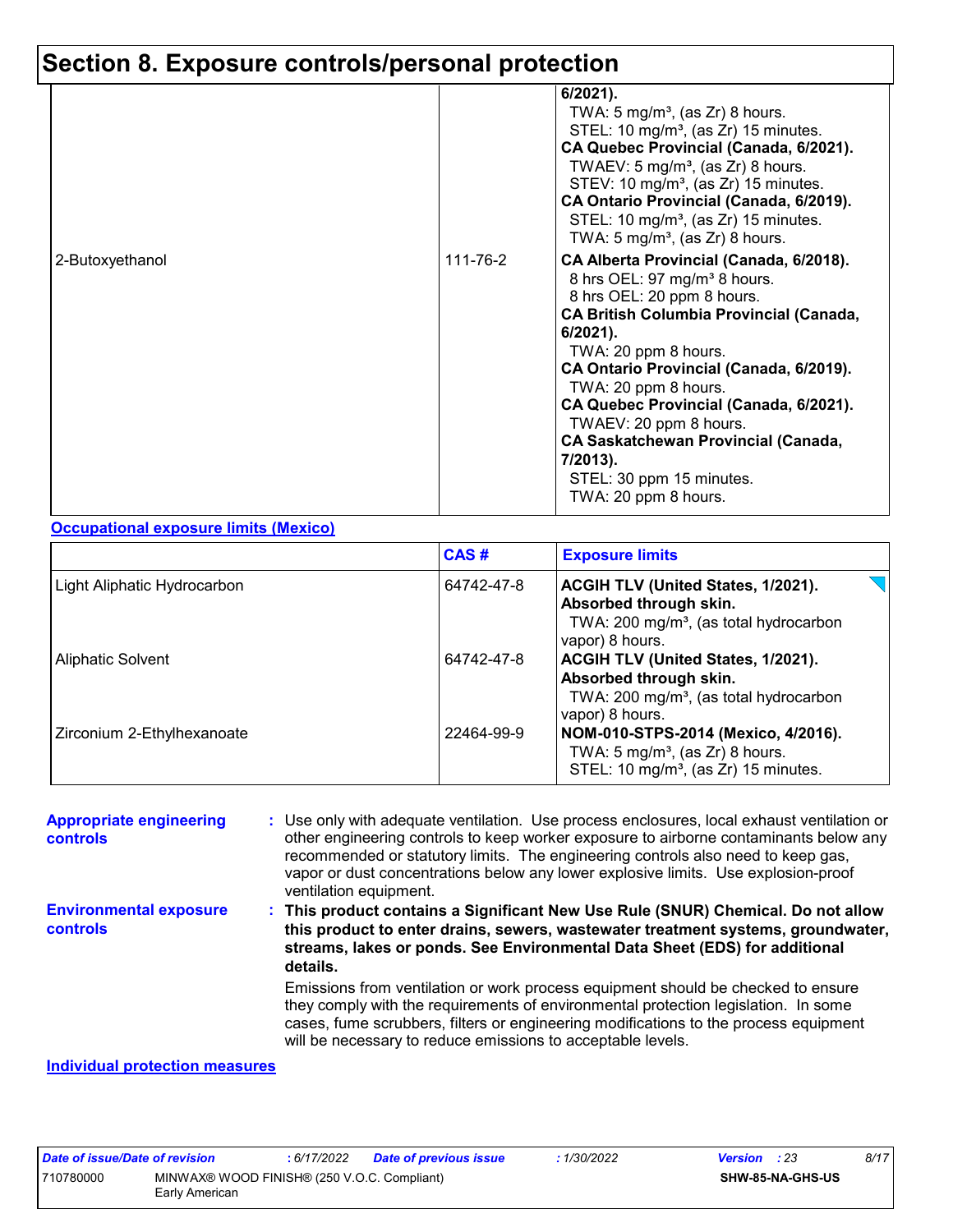|                 |          | 6/2021).<br>TWA: $5 \text{ mg/m}^3$ , (as Zr) 8 hours.<br>STEL: 10 mg/m <sup>3</sup> , (as Zr) 15 minutes.<br>CA Quebec Provincial (Canada, 6/2021).<br>TWAEV: $5 \text{ mg/m}^3$ , (as Zr) 8 hours.<br>STEV: 10 mg/m <sup>3</sup> , (as Zr) 15 minutes.<br>CA Ontario Provincial (Canada, 6/2019).<br>STEL: 10 mg/m <sup>3</sup> , (as Zr) 15 minutes.<br>TWA: 5 mg/m <sup>3</sup> , (as Zr) 8 hours.                                                          |
|-----------------|----------|-----------------------------------------------------------------------------------------------------------------------------------------------------------------------------------------------------------------------------------------------------------------------------------------------------------------------------------------------------------------------------------------------------------------------------------------------------------------|
| 2-Butoxyethanol | 111-76-2 | CA Alberta Provincial (Canada, 6/2018).<br>8 hrs OEL: 97 mg/m <sup>3</sup> 8 hours.<br>8 hrs OEL: 20 ppm 8 hours.<br><b>CA British Columbia Provincial (Canada,</b><br>$6/2021$ ).<br>TWA: 20 ppm 8 hours.<br>CA Ontario Provincial (Canada, 6/2019).<br>TWA: 20 ppm 8 hours.<br>CA Quebec Provincial (Canada, 6/2021).<br>TWAEV: 20 ppm 8 hours.<br><b>CA Saskatchewan Provincial (Canada,</b><br>7/2013).<br>STEL: 30 ppm 15 minutes.<br>TWA: 20 ppm 8 hours. |

#### **Occupational exposure limits (Mexico)**

|                             | CAS#       | <b>Exposure limits</b>                                                                                                                |
|-----------------------------|------------|---------------------------------------------------------------------------------------------------------------------------------------|
| Light Aliphatic Hydrocarbon | 64742-47-8 | ACGIH TLV (United States, 1/2021).<br>Absorbed through skin.<br>TWA: 200 mg/m <sup>3</sup> , (as total hydrocarbon<br>vapor) 8 hours. |
| <b>Aliphatic Solvent</b>    | 64742-47-8 | ACGIH TLV (United States, 1/2021).<br>Absorbed through skin.<br>TWA: 200 mg/m <sup>3</sup> , (as total hydrocarbon<br>vapor) 8 hours. |
| Zirconium 2-Ethylhexanoate  | 22464-99-9 | NOM-010-STPS-2014 (Mexico, 4/2016).<br>TWA: $5 \text{ mg/m}^3$ , (as Zr) 8 hours.<br>STEL: 10 mg/m <sup>3</sup> , (as Zr) 15 minutes. |

Emissions from ventilation or work process equipment should be checked to ensure they comply with the requirements of environmental protection legislation. In some cases, fume scrubbers, filters or engineering modifications to the process equipment will be necessary to reduce emissions to acceptable levels. **Appropriate engineering controls :** Use only with adequate ventilation. Use process enclosures, local exhaust ventilation or other engineering controls to keep worker exposure to airborne contaminants below any recommended or statutory limits. The engineering controls also need to keep gas, vapor or dust concentrations below any lower explosive limits. Use explosion-proof ventilation equipment. **This product contains a Significant New Use Rule (SNUR) Chemical. Do not allow : this product to enter drains, sewers, wastewater treatment systems, groundwater, streams, lakes or ponds. See Environmental Data Sheet (EDS) for additional details. Environmental exposure controls**

#### **Individual protection measures**

| Date of issue/Date of revision                                             |  | : 6/17/2022 | <b>Date of previous issue</b> | 1/30/2022 | <b>Version</b> : 23 | 8/17 |
|----------------------------------------------------------------------------|--|-------------|-------------------------------|-----------|---------------------|------|
| 710780000<br>MINWAX® WOOD FINISH® (250 V.O.C. Compliant)<br>Early American |  |             | SHW-85-NA-GHS-US              |           |                     |      |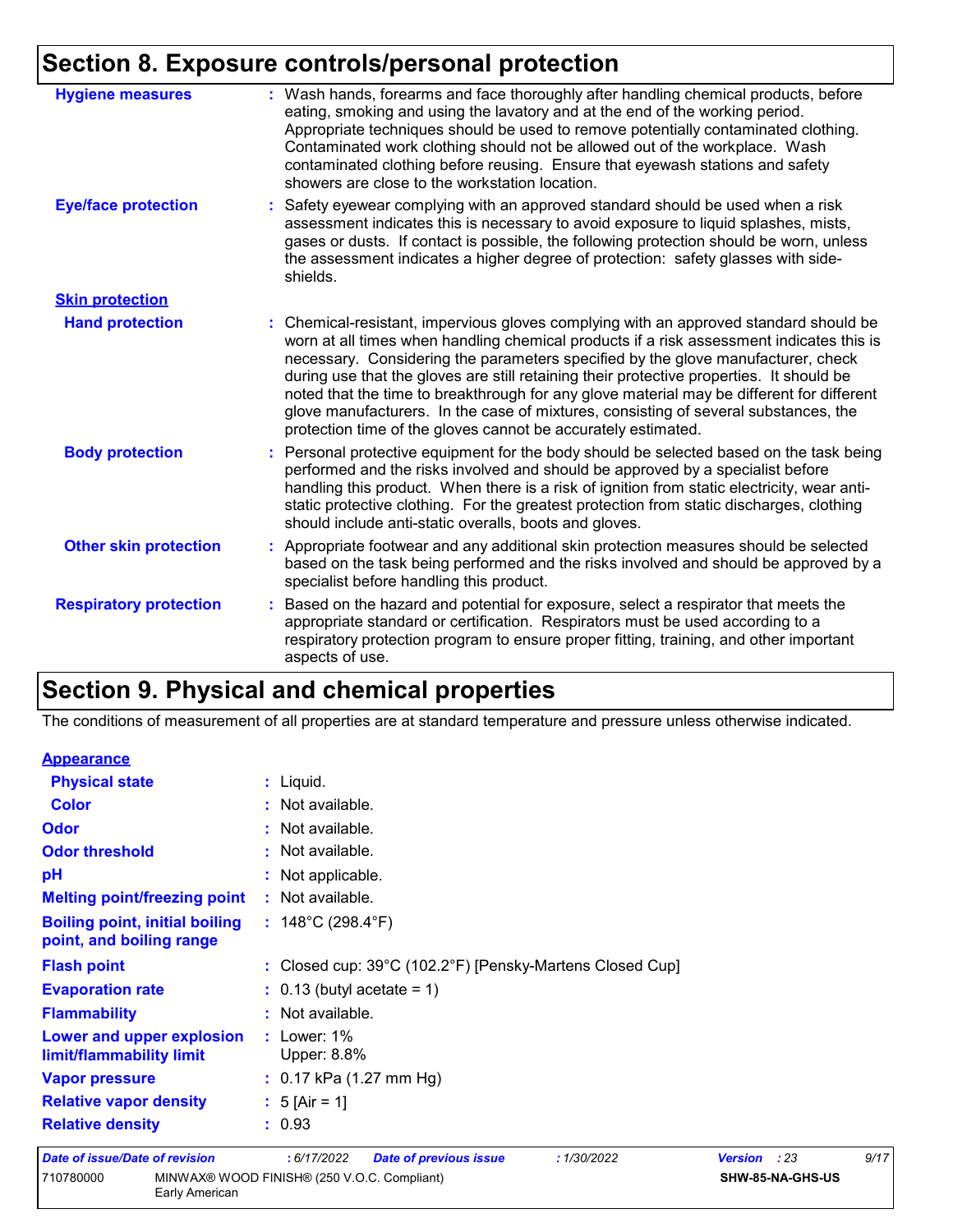| <b>Hygiene measures</b>       | : Wash hands, forearms and face thoroughly after handling chemical products, before<br>eating, smoking and using the lavatory and at the end of the working period.<br>Appropriate techniques should be used to remove potentially contaminated clothing.<br>Contaminated work clothing should not be allowed out of the workplace. Wash<br>contaminated clothing before reusing. Ensure that eyewash stations and safety<br>showers are close to the workstation location.                                                                                                                                            |
|-------------------------------|------------------------------------------------------------------------------------------------------------------------------------------------------------------------------------------------------------------------------------------------------------------------------------------------------------------------------------------------------------------------------------------------------------------------------------------------------------------------------------------------------------------------------------------------------------------------------------------------------------------------|
| <b>Eye/face protection</b>    | : Safety eyewear complying with an approved standard should be used when a risk<br>assessment indicates this is necessary to avoid exposure to liquid splashes, mists,<br>gases or dusts. If contact is possible, the following protection should be worn, unless<br>the assessment indicates a higher degree of protection: safety glasses with side-<br>shields.                                                                                                                                                                                                                                                     |
| <b>Skin protection</b>        |                                                                                                                                                                                                                                                                                                                                                                                                                                                                                                                                                                                                                        |
| <b>Hand protection</b>        | : Chemical-resistant, impervious gloves complying with an approved standard should be<br>worn at all times when handling chemical products if a risk assessment indicates this is<br>necessary. Considering the parameters specified by the glove manufacturer, check<br>during use that the gloves are still retaining their protective properties. It should be<br>noted that the time to breakthrough for any glove material may be different for different<br>glove manufacturers. In the case of mixtures, consisting of several substances, the<br>protection time of the gloves cannot be accurately estimated. |
| <b>Body protection</b>        | : Personal protective equipment for the body should be selected based on the task being<br>performed and the risks involved and should be approved by a specialist before<br>handling this product. When there is a risk of ignition from static electricity, wear anti-<br>static protective clothing. For the greatest protection from static discharges, clothing<br>should include anti-static overalls, boots and gloves.                                                                                                                                                                                         |
| <b>Other skin protection</b>  | : Appropriate footwear and any additional skin protection measures should be selected<br>based on the task being performed and the risks involved and should be approved by a<br>specialist before handling this product.                                                                                                                                                                                                                                                                                                                                                                                              |
| <b>Respiratory protection</b> | : Based on the hazard and potential for exposure, select a respirator that meets the<br>appropriate standard or certification. Respirators must be used according to a<br>respiratory protection program to ensure proper fitting, training, and other important<br>aspects of use.                                                                                                                                                                                                                                                                                                                                    |

# **Section 9. Physical and chemical properties**

Early American

The conditions of measurement of all properties are at standard temperature and pressure unless otherwise indicated.

| 710780000                                                         | MINWAX® WOOD FINISH® (250 V.O.C. Compliant)                 |              | SHW-85-NA-GHS-US |      |
|-------------------------------------------------------------------|-------------------------------------------------------------|--------------|------------------|------|
| <b>Date of issue/Date of revision</b>                             | : 6/17/2022<br><b>Date of previous issue</b><br>: 1/30/2022 | Version : 23 |                  | 9/17 |
| <b>Relative density</b>                                           | : 0.93                                                      |              |                  |      |
| <b>Relative vapor density</b>                                     | : $5$ [Air = 1]                                             |              |                  |      |
| <b>Vapor pressure</b>                                             | $: 0.17$ kPa (1.27 mm Hg)                                   |              |                  |      |
| Lower and upper explosion<br>limit/flammability limit             | $:$ Lower: 1%<br>Upper: 8.8%                                |              |                  |      |
| <b>Flammability</b>                                               | : Not available.                                            |              |                  |      |
| <b>Evaporation rate</b>                                           | $\therefore$ 0.13 (butyl acetate = 1)                       |              |                  |      |
| <b>Flash point</b>                                                | : Closed cup: 39°C (102.2°F) [Pensky-Martens Closed Cup]    |              |                  |      |
| <b>Boiling point, initial boiling</b><br>point, and boiling range | : $148^{\circ}$ C (298.4 $^{\circ}$ F)                      |              |                  |      |
| <b>Melting point/freezing point</b>                               | : Not available.                                            |              |                  |      |
| pH                                                                | : Not applicable.                                           |              |                  |      |
| <b>Odor threshold</b>                                             | : Not available.                                            |              |                  |      |
| <b>Odor</b>                                                       | : Not available.                                            |              |                  |      |
| <b>Color</b>                                                      | : Not available.                                            |              |                  |      |
| <b>Physical state</b>                                             | : Liquid.                                                   |              |                  |      |
| <b>Appearance</b>                                                 |                                                             |              |                  |      |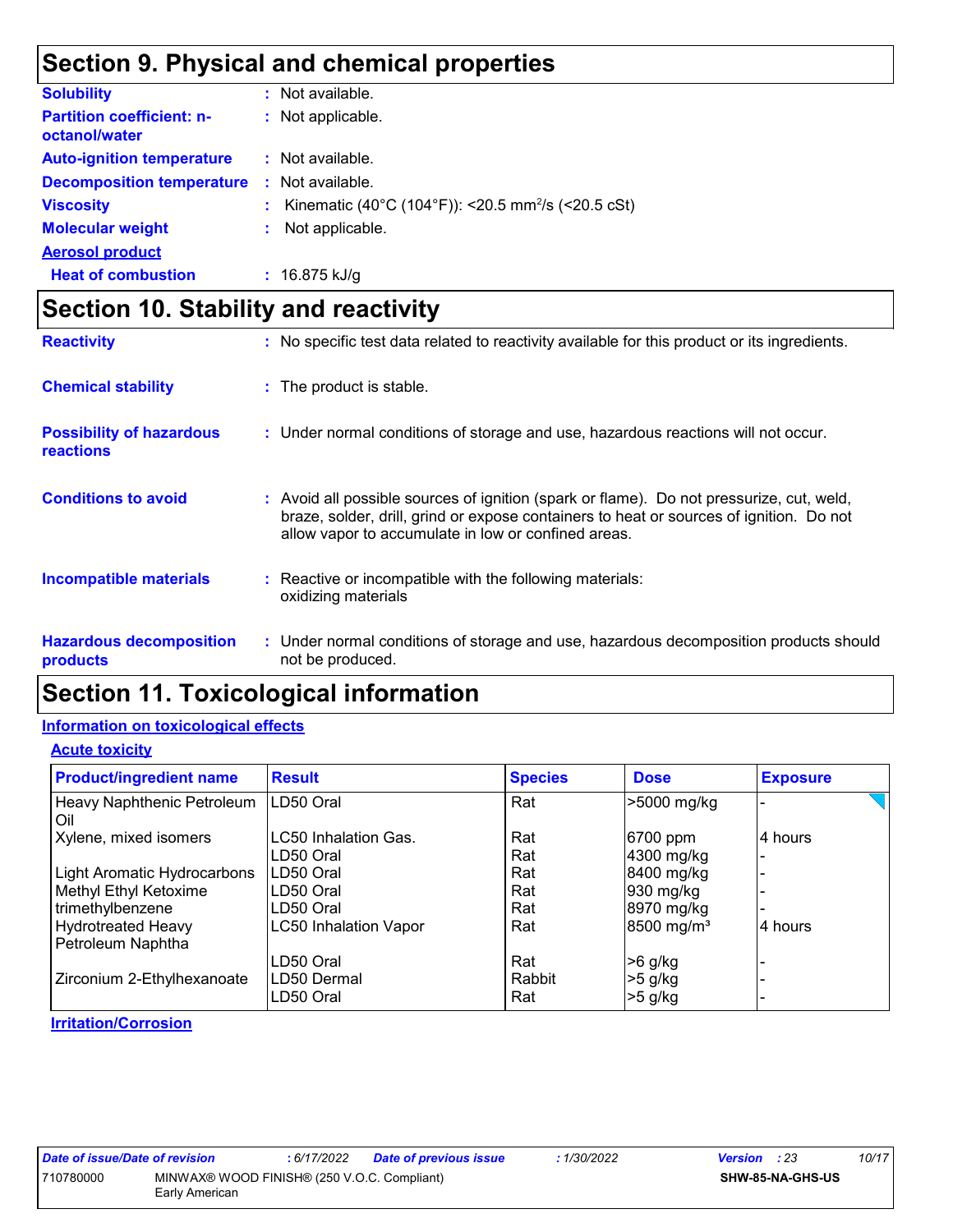# **Section 9. Physical and chemical properties**

| <b>Solubility</b>                                 | : Not available.                                                 |
|---------------------------------------------------|------------------------------------------------------------------|
| <b>Partition coefficient: n-</b><br>octanol/water | : Not applicable.                                                |
| <b>Auto-ignition temperature</b>                  | : Not available.                                                 |
| <b>Decomposition temperature</b>                  | : Not available.                                                 |
| <b>Viscosity</b>                                  | : Kinematic (40°C (104°F)): <20.5 mm <sup>2</sup> /s (<20.5 cSt) |
| <b>Molecular weight</b>                           | Not applicable.                                                  |
| <b>Aerosol product</b>                            |                                                                  |
| <b>Heat of combustion</b>                         | $: 16.875$ kJ/g                                                  |

# **Section 10. Stability and reactivity**

| <b>Reactivity</b>                                   | : No specific test data related to reactivity available for this product or its ingredients.                                                                                                                                               |
|-----------------------------------------------------|--------------------------------------------------------------------------------------------------------------------------------------------------------------------------------------------------------------------------------------------|
| <b>Chemical stability</b>                           | : The product is stable.                                                                                                                                                                                                                   |
| <b>Possibility of hazardous</b><br><b>reactions</b> | : Under normal conditions of storage and use, hazardous reactions will not occur.                                                                                                                                                          |
| <b>Conditions to avoid</b>                          | : Avoid all possible sources of ignition (spark or flame). Do not pressurize, cut, weld,<br>braze, solder, drill, grind or expose containers to heat or sources of ignition. Do not<br>allow vapor to accumulate in low or confined areas. |
| <b>Incompatible materials</b>                       | : Reactive or incompatible with the following materials:<br>oxidizing materials                                                                                                                                                            |
| <b>Hazardous decomposition</b><br>products          | : Under normal conditions of storage and use, hazardous decomposition products should<br>not be produced.                                                                                                                                  |

# **Section 11. Toxicological information**

#### **Information on toxicological effects**

#### **Acute toxicity**

| <b>Product/ingredient name</b>                 | <b>Result</b>                | <b>Species</b> | <b>Dose</b>            | <b>Exposure</b> |
|------------------------------------------------|------------------------------|----------------|------------------------|-----------------|
| Heavy Naphthenic Petroleum<br>Oil              | LD50 Oral                    | Rat            | >5000 mg/kg            |                 |
| Xylene, mixed isomers                          | LC50 Inhalation Gas.         | Rat            | 6700 ppm               | 4 hours         |
|                                                | LD50 Oral                    | Rat            | 4300 mg/kg             |                 |
| Light Aromatic Hydrocarbons                    | LD50 Oral                    | Rat            | 8400 mg/kg             |                 |
| Methyl Ethyl Ketoxime                          | LD50 Oral                    | Rat            | 930 mg/kg              |                 |
| trimethylbenzene                               | LD50 Oral                    | Rat            | 8970 mg/kg             |                 |
| <b>Hydrotreated Heavy</b><br>Petroleum Naphtha | <b>LC50 Inhalation Vapor</b> | Rat            | 8500 mg/m <sup>3</sup> | 4 hours         |
|                                                | LD50 Oral                    | Rat            | $>6$ g/kg              |                 |
| Zirconium 2-Ethylhexanoate                     | LD50 Dermal<br>LD50 Oral     | Rabbit<br>Rat  | $>5$ g/kg<br>$>5$ g/kg |                 |

#### **Irritation/Corrosion**

| Date of issue/Date of revision                           |                | : 6/17/2022 | Date of previous issue | 1/30/2022               | <b>Version</b> : 23 | 10/17 |
|----------------------------------------------------------|----------------|-------------|------------------------|-------------------------|---------------------|-------|
| MINWAX® WOOD FINISH® (250 V.O.C. Compliant)<br>710780000 |                |             |                        | <b>SHW-85-NA-GHS-US</b> |                     |       |
|                                                          | Early American |             |                        |                         |                     |       |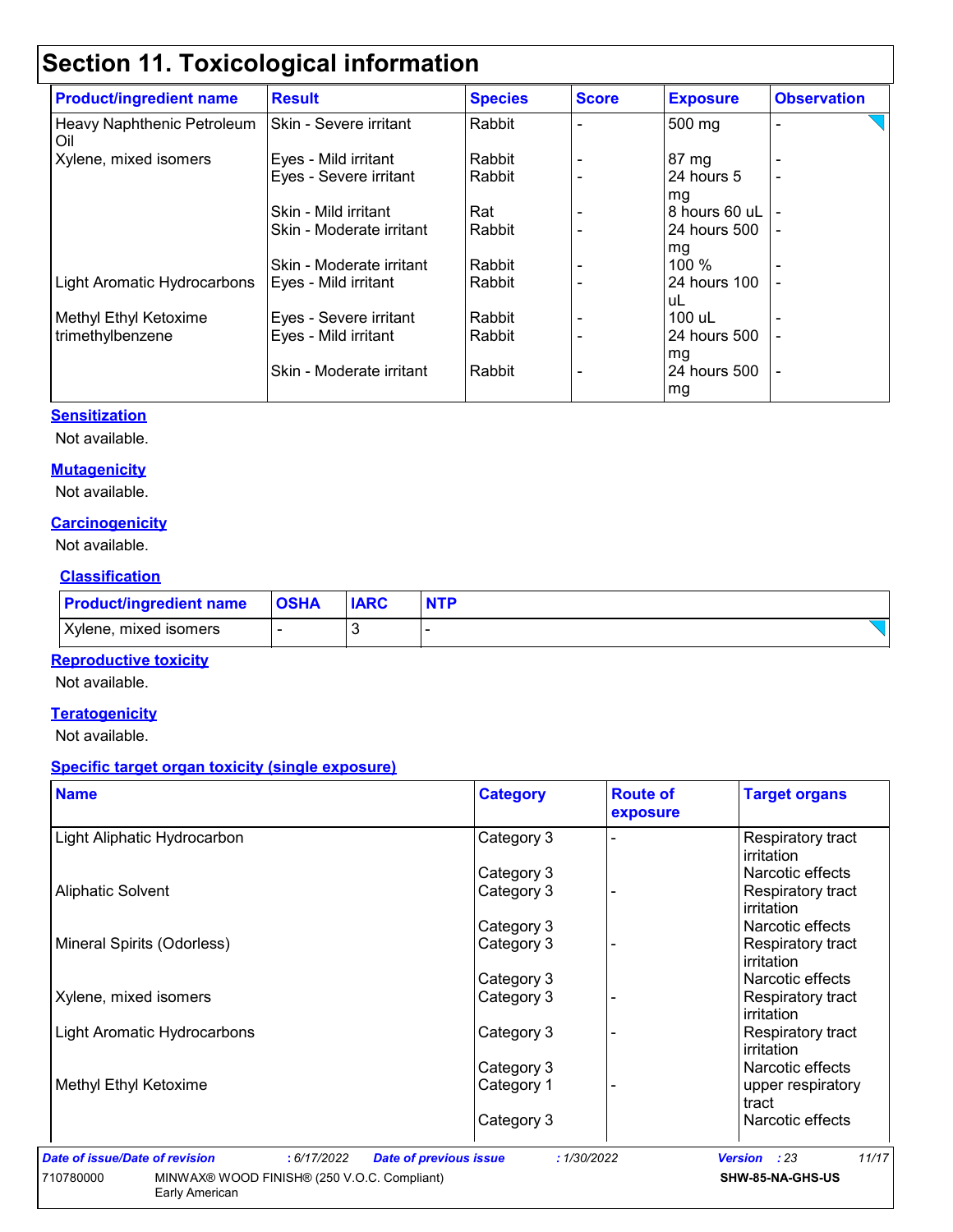# **Section 11. Toxicological information**

| <b>Product/ingredient name</b>    | <b>Result</b>            | <b>Species</b> | <b>Score</b> | <b>Exposure</b> | <b>Observation</b>       |
|-----------------------------------|--------------------------|----------------|--------------|-----------------|--------------------------|
| Heavy Naphthenic Petroleum<br>Oil | Skin - Severe irritant   | Rabbit         |              | 500 mg          | $\blacksquare$           |
| Xylene, mixed isomers             | Eyes - Mild irritant     | Rabbit         |              | 87 mg           |                          |
|                                   | Eyes - Severe irritant   | Rabbit         |              | 24 hours 5      |                          |
|                                   |                          |                |              | mg              |                          |
|                                   | Skin - Mild irritant     | Rat            |              | 8 hours 60 uL   |                          |
|                                   | Skin - Moderate irritant | Rabbit         |              | 24 hours 500    |                          |
|                                   |                          |                |              | mg              |                          |
|                                   | Skin - Moderate irritant | Rabbit         |              | 100 %           |                          |
| Light Aromatic Hydrocarbons       | Eyes - Mild irritant     | Rabbit         |              | 24 hours 100    |                          |
|                                   |                          |                |              | uL              |                          |
| Methyl Ethyl Ketoxime             | Eyes - Severe irritant   | Rabbit         |              | 100 uL          |                          |
| trimethylbenzene                  | Eyes - Mild irritant     | Rabbit         |              | 24 hours 500    | $\overline{\phantom{a}}$ |
|                                   |                          |                |              | mg              |                          |
|                                   | Skin - Moderate irritant | Rabbit         |              | 24 hours 500    | $\overline{\phantom{a}}$ |
|                                   |                          |                |              | mg              |                          |

#### **Sensitization**

Not available.

#### **Mutagenicity**

Not available.

#### **Carcinogenicity**

Not available.

#### **Classification**

| <b>Product/ingredient name</b> | <b>OSHA</b> | <b>IARC</b> |  |
|--------------------------------|-------------|-------------|--|
| Xylene, mixed isomers          |             |             |  |

#### **Reproductive toxicity**

Not available.

#### **Teratogenicity**

Not available.

#### **Specific target organ toxicity (single exposure)**

| <b>Name</b>                 | <b>Category</b> | <b>Route of</b><br>exposure | <b>Target organs</b>                   |
|-----------------------------|-----------------|-----------------------------|----------------------------------------|
| Light Aliphatic Hydrocarbon | Category 3      |                             | Respiratory tract<br>irritation        |
|                             | Category 3      |                             | Narcotic effects                       |
| <b>Aliphatic Solvent</b>    | Category 3      |                             | Respiratory tract<br>irritation        |
|                             | Category 3      |                             | Narcotic effects                       |
| Mineral Spirits (Odorless)  | Category 3      |                             | Respiratory tract<br>irritation        |
|                             | Category 3      |                             | Narcotic effects                       |
| Xylene, mixed isomers       | Category 3      |                             | Respiratory tract<br>irritation        |
| Light Aromatic Hydrocarbons | Category 3      |                             | <b>Respiratory tract</b><br>irritation |
|                             | Category 3      |                             | Narcotic effects                       |
| Methyl Ethyl Ketoxime       | Category 1      |                             | upper respiratory<br>tract             |
|                             | Category 3      |                             | Narcotic effects                       |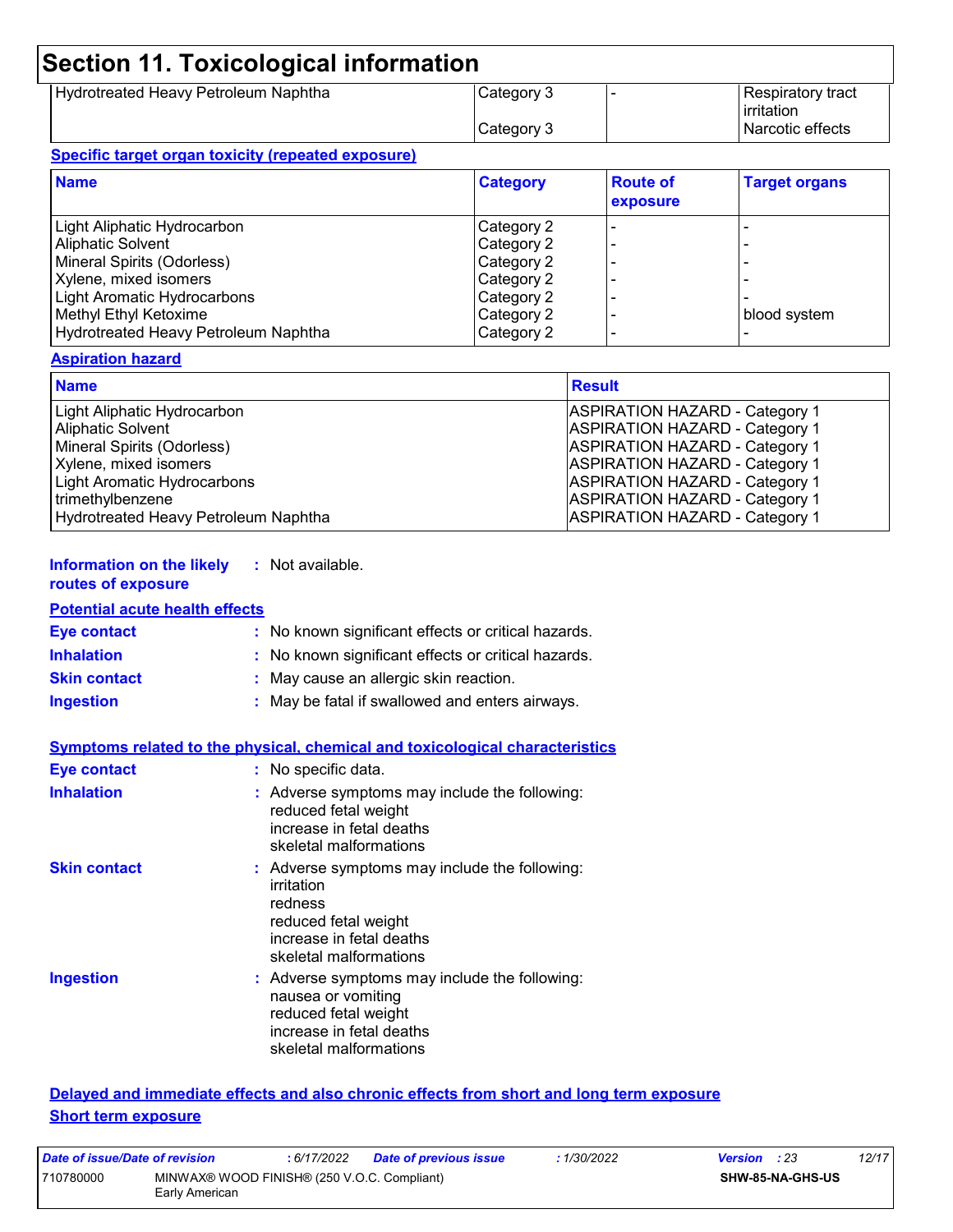# **Section 11. Toxicological information**

| Hydrotreated Heavy Petroleum Naphtha | Category 3 | l Respiratory tract |
|--------------------------------------|------------|---------------------|
|                                      |            | irritation          |
|                                      | Category 3 | l Narcotic effects  |

#### **Specific target organ toxicity (repeated exposure)**

| <b>Name</b>                          | <b>Category</b> | <b>Route of</b><br>exposure | <b>Target organs</b> |
|--------------------------------------|-----------------|-----------------------------|----------------------|
| Light Aliphatic Hydrocarbon          | Category 2      |                             |                      |
| <b>Aliphatic Solvent</b>             | Category 2      |                             |                      |
| Mineral Spirits (Odorless)           | Category 2      |                             |                      |
| Xylene, mixed isomers                | Category 2      |                             |                      |
| Light Aromatic Hydrocarbons          | Category 2      |                             |                      |
| Methyl Ethyl Ketoxime                | Category 2      |                             | blood system         |
| Hydrotreated Heavy Petroleum Naphtha | Category 2      |                             |                      |

#### **Aspiration hazard**

| <b>Name</b>                          | <b>Result</b>                         |
|--------------------------------------|---------------------------------------|
| Light Aliphatic Hydrocarbon          | <b>ASPIRATION HAZARD - Category 1</b> |
| <b>Aliphatic Solvent</b>             | <b>ASPIRATION HAZARD - Category 1</b> |
| Mineral Spirits (Odorless)           | <b>ASPIRATION HAZARD - Category 1</b> |
| Xylene, mixed isomers                | <b>ASPIRATION HAZARD - Category 1</b> |
| Light Aromatic Hydrocarbons          | <b>ASPIRATION HAZARD - Category 1</b> |
| trimethylbenzene                     | <b>ASPIRATION HAZARD - Category 1</b> |
| Hydrotreated Heavy Petroleum Naphtha | <b>ASPIRATION HAZARD - Category 1</b> |

#### **Information on the likely :** Not available. **routes of exposure**

#### **Potential acute health effects**

| <b>Eye contact</b>  | : No known significant effects or critical hazards. |
|---------------------|-----------------------------------------------------|
| <b>Inhalation</b>   | : No known significant effects or critical hazards. |
| <b>Skin contact</b> | : May cause an allergic skin reaction.              |
| <b>Ingestion</b>    | : May be fatal if swallowed and enters airways.     |

|                     | <b>Symptoms related to the physical, chemical and toxicological characteristics</b>                                                                  |
|---------------------|------------------------------------------------------------------------------------------------------------------------------------------------------|
| <b>Eye contact</b>  | : No specific data.                                                                                                                                  |
| <b>Inhalation</b>   | : Adverse symptoms may include the following:<br>reduced fetal weight<br>increase in fetal deaths<br>skeletal malformations                          |
| <b>Skin contact</b> | : Adverse symptoms may include the following:<br>irritation<br>redness<br>reduced fetal weight<br>increase in fetal deaths<br>skeletal malformations |
| <b>Ingestion</b>    | : Adverse symptoms may include the following:<br>nausea or vomiting<br>reduced fetal weight<br>increase in fetal deaths<br>skeletal malformations    |

#### **Delayed and immediate effects and also chronic effects from short and long term exposure Short term exposure**

| Date of issue/Date of revision |                                                               | : 6/17/2022 | <b>Date of previous issue</b> | : 1/30/2022 | <b>Version</b> : 23 |                         | 12/17 |
|--------------------------------|---------------------------------------------------------------|-------------|-------------------------------|-------------|---------------------|-------------------------|-------|
| 710780000                      | MINWAX® WOOD FINISH® (250 V.O.C. Compliant)<br>Early American |             |                               |             |                     | <b>SHW-85-NA-GHS-US</b> |       |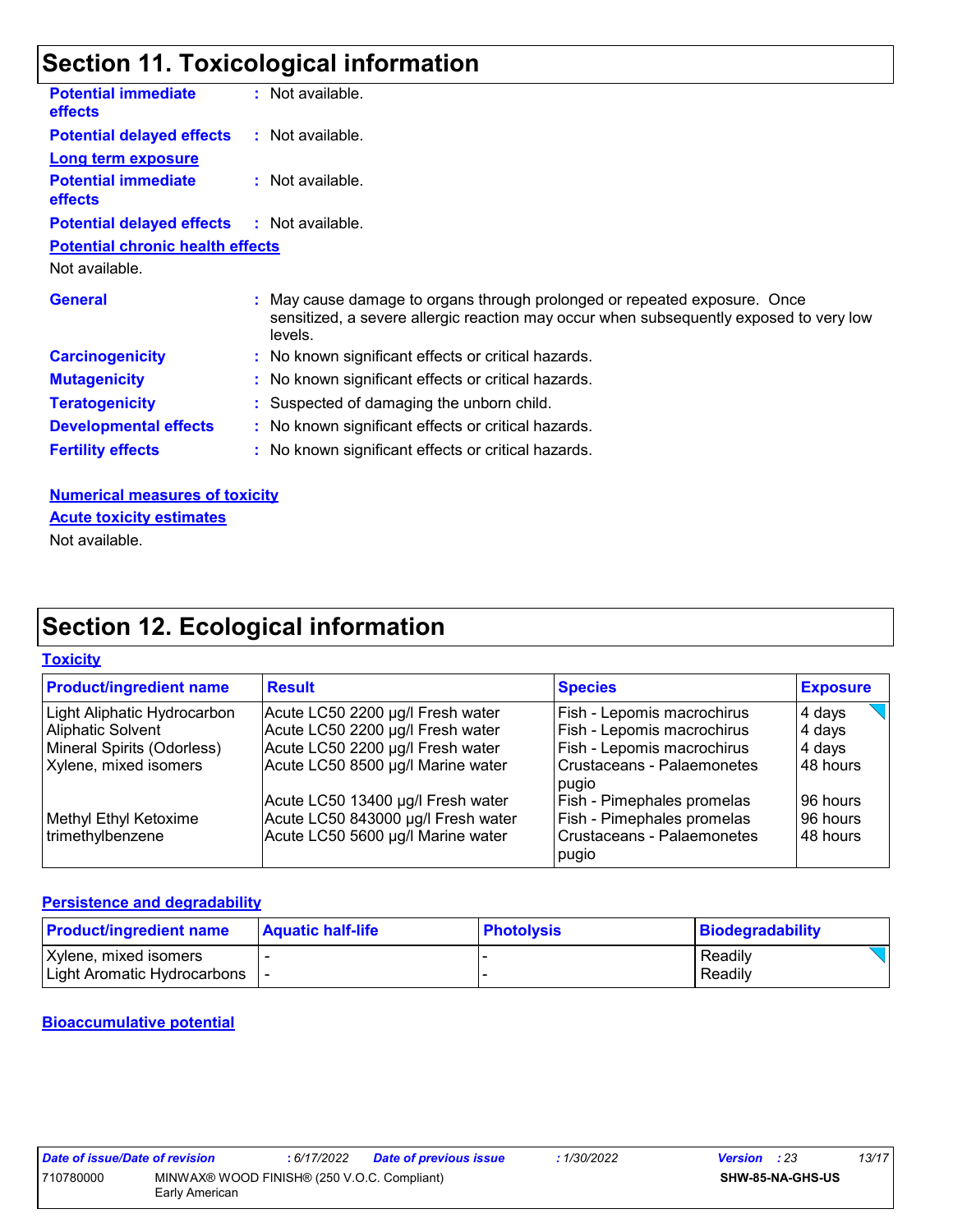# **Section 11. Toxicological information**

| <b>Potential immediate</b><br><b>effects</b> | : Not available.                                                                                                                                                               |
|----------------------------------------------|--------------------------------------------------------------------------------------------------------------------------------------------------------------------------------|
| <b>Potential delayed effects</b>             | : Not available.                                                                                                                                                               |
| <b>Long term exposure</b>                    |                                                                                                                                                                                |
| <b>Potential immediate</b><br><b>effects</b> | : Not available.                                                                                                                                                               |
| <b>Potential delayed effects</b>             | : Not available.                                                                                                                                                               |
| <b>Potential chronic health effects</b>      |                                                                                                                                                                                |
| Not available.                               |                                                                                                                                                                                |
| <b>General</b>                               | : May cause damage to organs through prolonged or repeated exposure. Once<br>sensitized, a severe allergic reaction may occur when subsequently exposed to very low<br>levels. |
| <b>Carcinogenicity</b>                       | : No known significant effects or critical hazards.                                                                                                                            |
| <b>Mutagenicity</b>                          | : No known significant effects or critical hazards.                                                                                                                            |
| <b>Teratogenicity</b>                        | : Suspected of damaging the unborn child.                                                                                                                                      |
| <b>Developmental effects</b>                 | : No known significant effects or critical hazards.                                                                                                                            |
| <b>Fertility effects</b>                     | : No known significant effects or critical hazards.                                                                                                                            |
| <b>Numerical measures of toxicity</b>        |                                                                                                                                                                                |

**Acute toxicity estimates**

Not available.

# **Section 12. Ecological information**

#### **Toxicity**

| <b>Product/ingredient name</b> | <b>Result</b>                      | <b>Species</b>                        | <b>Exposure</b> |
|--------------------------------|------------------------------------|---------------------------------------|-----------------|
| Light Aliphatic Hydrocarbon    | Acute LC50 2200 µg/l Fresh water   | Fish - Lepomis macrochirus            | 4 days          |
| <b>Aliphatic Solvent</b>       | Acute LC50 2200 µg/l Fresh water   | Fish - Lepomis macrochirus            | 4 days          |
| Mineral Spirits (Odorless)     | Acute LC50 2200 µg/l Fresh water   | Fish - Lepomis macrochirus            | ∣4 days         |
| Xylene, mixed isomers          | Acute LC50 8500 µg/l Marine water  | l Crustaceans - Palaemonetes<br>pugio | 48 hours        |
|                                | Acute LC50 13400 µg/l Fresh water  | <b>Fish - Pimephales promelas</b>     | l 96 hours      |
| Methyl Ethyl Ketoxime          | Acute LC50 843000 µg/l Fresh water | Fish - Pimephales promelas            | 96 hours        |
| trimethylbenzene               | Acute LC50 5600 µg/l Marine water  | Crustaceans - Palaemonetes<br>pugio   | 48 hours        |

#### **Persistence and degradability**

| <b>Product/ingredient name</b>                              | <b>Aquatic half-life</b> | <b>Photolysis</b> | Biodegradability   |
|-------------------------------------------------------------|--------------------------|-------------------|--------------------|
| Xylene, mixed isomers<br><b>Light Aromatic Hydrocarbons</b> |                          |                   | Readily<br>Readily |

#### **Bioaccumulative potential**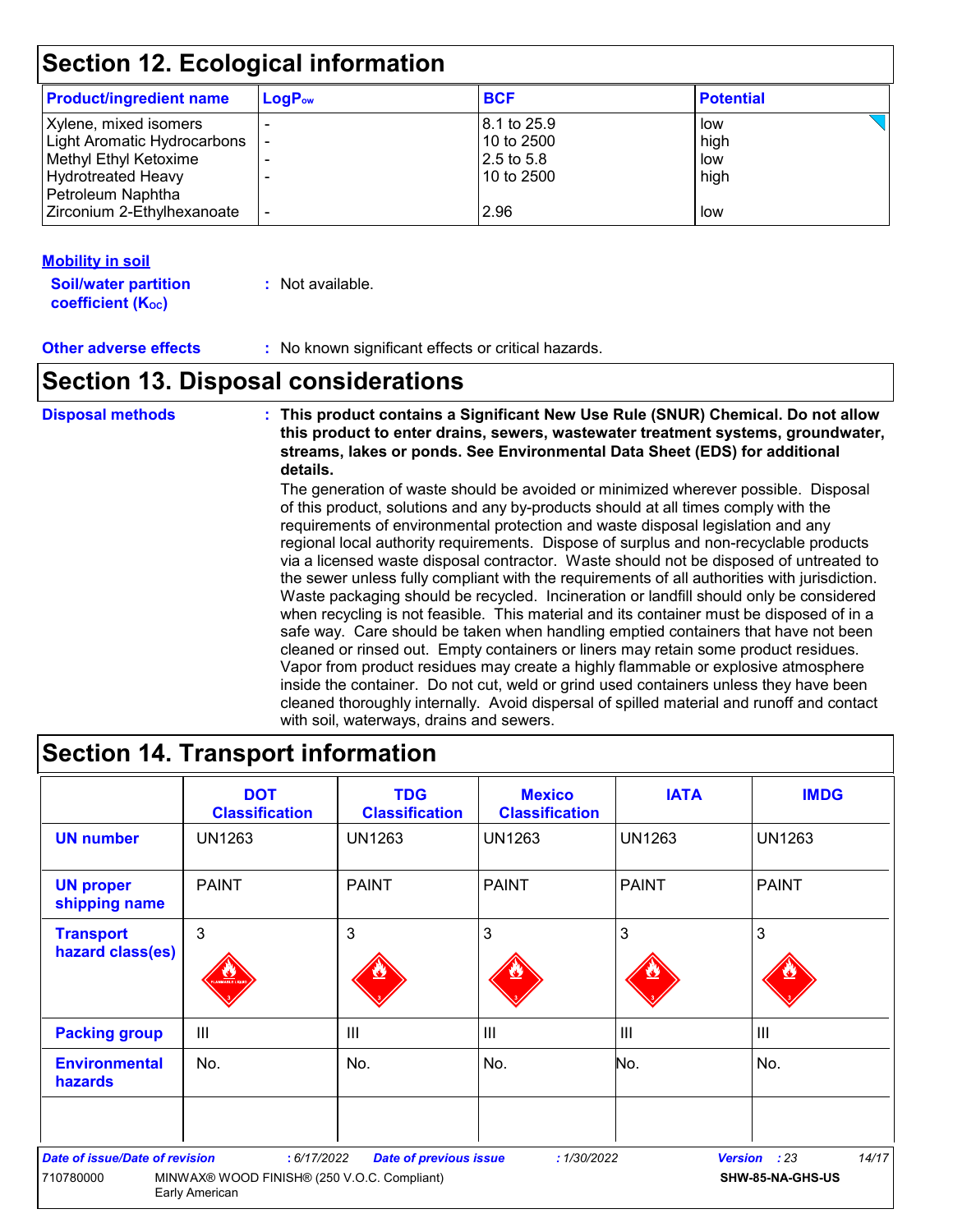# **Section 12. Ecological information**

| <b>Product/ingredient name</b> | $LogP_{ow}$ | <b>BCF</b>  | <b>Potential</b> |
|--------------------------------|-------------|-------------|------------------|
| Xylene, mixed isomers          |             | 8.1 to 25.9 | low              |
| Light Aromatic Hydrocarbons    |             | 10 to 2500  | high             |
| Methyl Ethyl Ketoxime          |             | 2.5 to 5.8  | low              |
| <b>Hydrotreated Heavy</b>      |             | 10 to 2500  | high             |
| Petroleum Naphtha              |             |             |                  |
| Zirconium 2-Ethylhexanoate     |             | 2.96        | low              |
|                                |             |             |                  |

#### **Mobility in soil**

**Soil/water partition coefficient (K**<sup>oc</sup>)

**:** Not available.

**Other adverse effects :** No known significant effects or critical hazards.

### **Section 13. Disposal considerations**

**Disposal methods : This product contains a Significant New Use Rule (SNUR) Chemical. Do not allow this product to enter drains, sewers, wastewater treatment systems, groundwater, streams, lakes or ponds. See Environmental Data Sheet (EDS) for additional details.**

> The generation of waste should be avoided or minimized wherever possible. Disposal of this product, solutions and any by-products should at all times comply with the requirements of environmental protection and waste disposal legislation and any regional local authority requirements. Dispose of surplus and non-recyclable products via a licensed waste disposal contractor. Waste should not be disposed of untreated to the sewer unless fully compliant with the requirements of all authorities with jurisdiction. Waste packaging should be recycled. Incineration or landfill should only be considered when recycling is not feasible. This material and its container must be disposed of in a safe way. Care should be taken when handling emptied containers that have not been cleaned or rinsed out. Empty containers or liners may retain some product residues. Vapor from product residues may create a highly flammable or explosive atmosphere inside the container. Do not cut, weld or grind used containers unless they have been cleaned thoroughly internally. Avoid dispersal of spilled material and runoff and contact with soil, waterways, drains and sewers.

|                                       | <b>DOT</b><br><b>Classification</b>                           | <b>TDG</b><br><b>Classification</b>   | <b>Mexico</b><br><b>Classification</b> | <b>IATA</b>    | <b>IMDG</b>      |
|---------------------------------------|---------------------------------------------------------------|---------------------------------------|----------------------------------------|----------------|------------------|
| <b>UN number</b>                      | <b>UN1263</b>                                                 | <b>UN1263</b>                         | <b>UN1263</b>                          | <b>UN1263</b>  | <b>UN1263</b>    |
| <b>UN proper</b><br>shipping name     | <b>PAINT</b>                                                  | <b>PAINT</b>                          | <b>PAINT</b>                           | <b>PAINT</b>   | <b>PAINT</b>     |
| <b>Transport</b><br>hazard class(es)  | 3                                                             | 3                                     | 3                                      | 3              | 3                |
| <b>Packing group</b>                  | $\mathbf{III}$                                                | $\begin{array}{c} \hline \end{array}$ | $\mathbf{III}$                         | $\mathbf{III}$ | $\mathbf{III}$   |
| <b>Environmental</b><br>hazards       | No.                                                           | No.                                   | No.                                    | No.            | No.              |
| <b>Date of issue/Date of revision</b> | : 6/17/2022                                                   | <b>Date of previous issue</b>         | : 1/30/2022                            | <b>Version</b> | 14/17<br>: 23    |
| 710780000                             | MINWAX® WOOD FINISH® (250 V.O.C. Compliant)<br>Early American |                                       |                                        |                | SHW-85-NA-GHS-US |

# **Section 14. Transport information**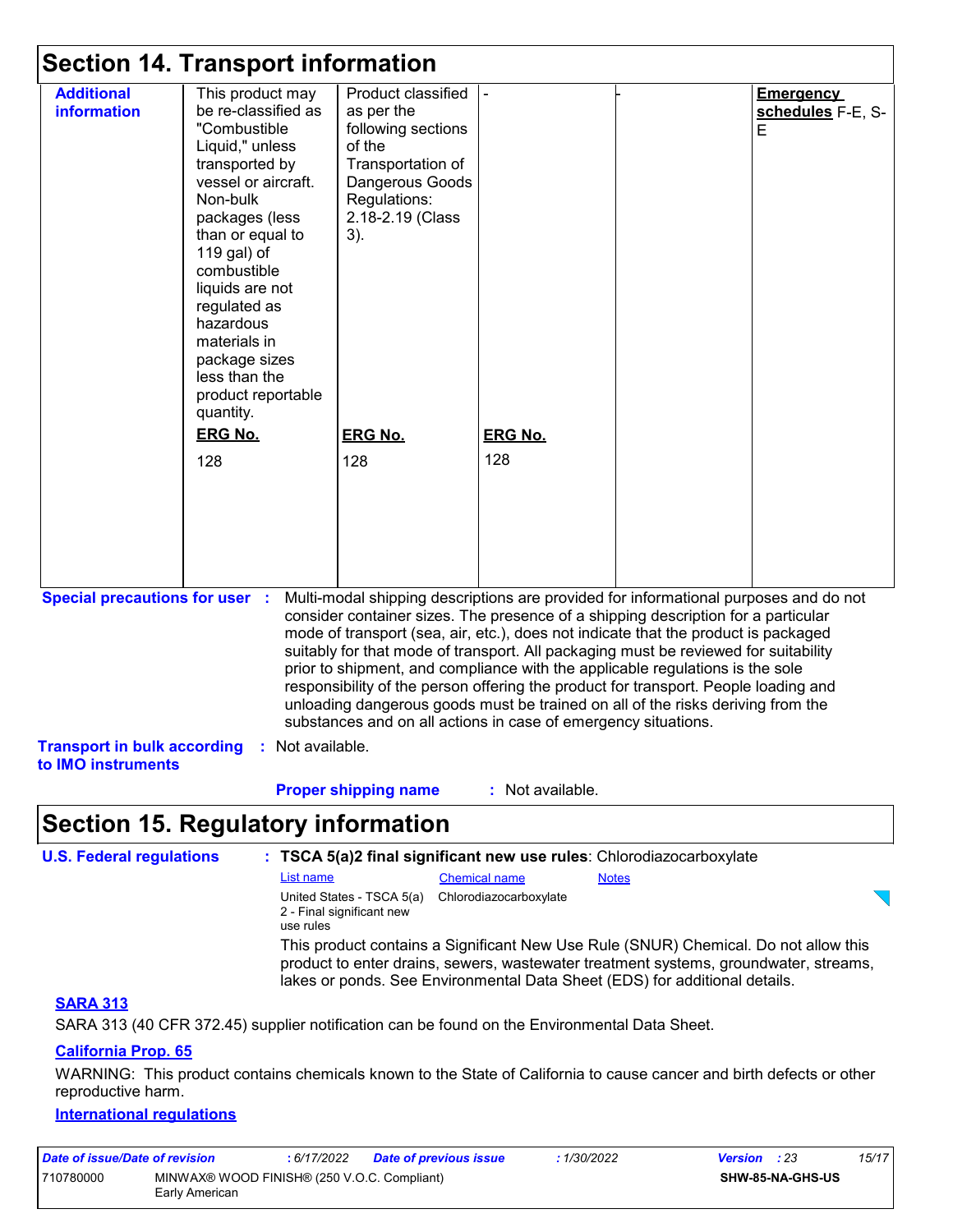| <b>Section 14. Transport information</b>                 |                                                                                                                                                                                                                                                                                                                                          |                                                                                                                                                                                                                                                                                                                                                                                                                                                                                                                                                                                                                                                                                     |                  |  |                                            |  |  |  |
|----------------------------------------------------------|------------------------------------------------------------------------------------------------------------------------------------------------------------------------------------------------------------------------------------------------------------------------------------------------------------------------------------------|-------------------------------------------------------------------------------------------------------------------------------------------------------------------------------------------------------------------------------------------------------------------------------------------------------------------------------------------------------------------------------------------------------------------------------------------------------------------------------------------------------------------------------------------------------------------------------------------------------------------------------------------------------------------------------------|------------------|--|--------------------------------------------|--|--|--|
| <b>Additional</b><br>information                         | This product may<br>be re-classified as<br>"Combustible<br>Liquid," unless<br>transported by<br>vessel or aircraft.<br>Non-bulk<br>packages (less<br>than or equal to<br>119 gal) of<br>combustible<br>liquids are not<br>regulated as<br>hazardous<br>materials in<br>package sizes<br>less than the<br>product reportable<br>quantity. | Product classified<br>as per the<br>following sections<br>of the<br>Transportation of<br>Dangerous Goods<br>Regulations:<br>2.18-2.19 (Class<br>3).                                                                                                                                                                                                                                                                                                                                                                                                                                                                                                                                 |                  |  | <b>Emergency</b><br>schedules F-E, S-<br>E |  |  |  |
|                                                          | <b>ERG No.</b>                                                                                                                                                                                                                                                                                                                           | <b>ERG No.</b>                                                                                                                                                                                                                                                                                                                                                                                                                                                                                                                                                                                                                                                                      | <b>ERG No.</b>   |  |                                            |  |  |  |
|                                                          | 128                                                                                                                                                                                                                                                                                                                                      | 128                                                                                                                                                                                                                                                                                                                                                                                                                                                                                                                                                                                                                                                                                 | 128              |  |                                            |  |  |  |
| <b>Special precautions for user :</b>                    |                                                                                                                                                                                                                                                                                                                                          | Multi-modal shipping descriptions are provided for informational purposes and do not<br>consider container sizes. The presence of a shipping description for a particular<br>mode of transport (sea, air, etc.), does not indicate that the product is packaged<br>suitably for that mode of transport. All packaging must be reviewed for suitability<br>prior to shipment, and compliance with the applicable regulations is the sole<br>responsibility of the person offering the product for transport. People loading and<br>unloading dangerous goods must be trained on all of the risks deriving from the<br>substances and on all actions in case of emergency situations. |                  |  |                                            |  |  |  |
| <b>Transport in bulk according</b><br>to IMO instruments | Not available.<br>÷.                                                                                                                                                                                                                                                                                                                     |                                                                                                                                                                                                                                                                                                                                                                                                                                                                                                                                                                                                                                                                                     |                  |  |                                            |  |  |  |
|                                                          |                                                                                                                                                                                                                                                                                                                                          | <b>Proper shipping name</b>                                                                                                                                                                                                                                                                                                                                                                                                                                                                                                                                                                                                                                                         | : Not available. |  |                                            |  |  |  |
| <b>Section 15. Regulatory information</b>                |                                                                                                                                                                                                                                                                                                                                          |                                                                                                                                                                                                                                                                                                                                                                                                                                                                                                                                                                                                                                                                                     |                  |  |                                            |  |  |  |

| <b>U.S. Federal regulations</b> |                                                                     |                        | : TSCA 5(a)2 final significant new use rules: Chlorodiazocarboxylate                                                                                                                                                                                       |  |
|---------------------------------|---------------------------------------------------------------------|------------------------|------------------------------------------------------------------------------------------------------------------------------------------------------------------------------------------------------------------------------------------------------------|--|
|                                 | List name                                                           | <b>Chemical name</b>   | <b>Notes</b>                                                                                                                                                                                                                                               |  |
|                                 | United States - TSCA 5(a)<br>2 - Final significant new<br>use rules | Chlorodiazocarboxylate |                                                                                                                                                                                                                                                            |  |
|                                 |                                                                     |                        | This product contains a Significant New Use Rule (SNUR) Chemical. Do not allow this<br>product to enter drains, sewers, was tewater treatment systems, groundwater, streams,<br>lakes or ponds. See Environmental Data Sheet (EDS) for additional details. |  |
| <b>CADA 040</b>                 |                                                                     |                        |                                                                                                                                                                                                                                                            |  |

#### **SARA 313**

SARA 313 (40 CFR 372.45) supplier notification can be found on the Environmental Data Sheet.

### **California Prop. 65**

WARNING: This product contains chemicals known to the State of California to cause cancer and birth defects or other reproductive harm.

#### **International regulations**

| Date of issue/Date of revision                                             |  | : 6/17/2022 | Date of previous issue | 1/30/2022        | <b>Version</b> : 23 |  | 15/17 |
|----------------------------------------------------------------------------|--|-------------|------------------------|------------------|---------------------|--|-------|
| MINWAX® WOOD FINISH® (250 V.O.C. Compliant)<br>710780000<br>Early American |  |             |                        | SHW-85-NA-GHS-US |                     |  |       |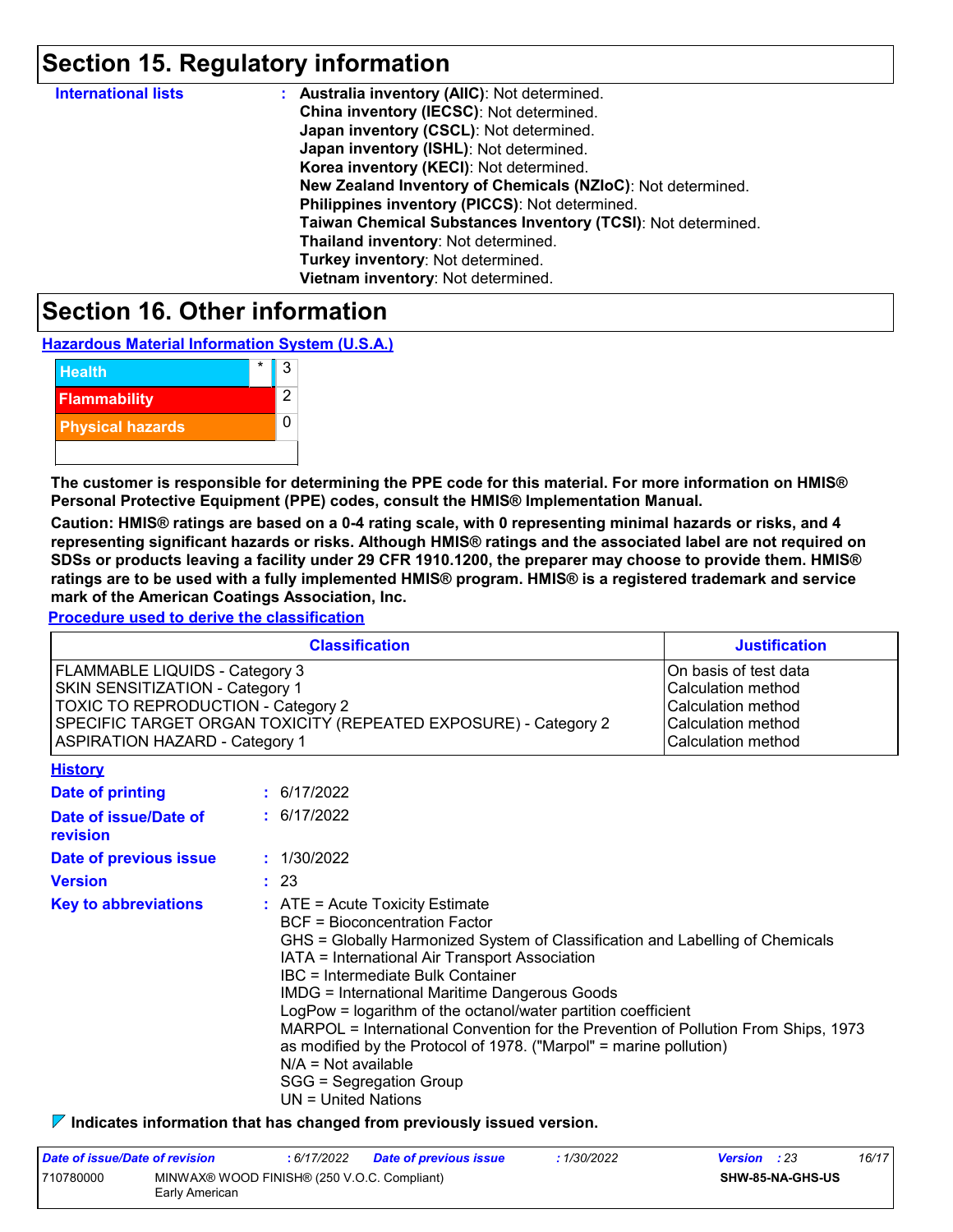## **Section 15. Regulatory information**

| <b>International lists</b> | : Australia inventory (AIIC): Not determined.                |
|----------------------------|--------------------------------------------------------------|
|                            | China inventory (IECSC): Not determined.                     |
|                            | Japan inventory (CSCL): Not determined.                      |
|                            | Japan inventory (ISHL): Not determined.                      |
|                            | Korea inventory (KECI): Not determined.                      |
|                            | New Zealand Inventory of Chemicals (NZIoC): Not determined.  |
|                            | Philippines inventory (PICCS): Not determined.               |
|                            | Taiwan Chemical Substances Inventory (TCSI): Not determined. |
|                            | Thailand inventory: Not determined.                          |
|                            | Turkey inventory: Not determined.                            |
|                            | Vietnam inventory: Not determined.                           |

### **Section 16. Other information**

**Hazardous Material Information System (U.S.A.)**



**The customer is responsible for determining the PPE code for this material. For more information on HMIS® Personal Protective Equipment (PPE) codes, consult the HMIS® Implementation Manual.**

**Caution: HMIS® ratings are based on a 0-4 rating scale, with 0 representing minimal hazards or risks, and 4 representing significant hazards or risks. Although HMIS® ratings and the associated label are not required on SDSs or products leaving a facility under 29 CFR 1910.1200, the preparer may choose to provide them. HMIS® ratings are to be used with a fully implemented HMIS® program. HMIS® is a registered trademark and service mark of the American Coatings Association, Inc.**

**Procedure used to derive the classification**

| <b>Classification</b>                                           | <b>Justification</b>  |
|-----------------------------------------------------------------|-----------------------|
| FLAMMABLE LIQUIDS - Category 3                                  | On basis of test data |
| SKIN SENSITIZATION - Category 1                                 | Calculation method    |
| <b>TOXIC TO REPRODUCTION - Category 2</b>                       | Calculation method    |
| SPECIFIC TARGET ORGAN TOXICITY (REPEATED EXPOSURE) - Category 2 | Calculation method    |
| <b>ASPIRATION HAZARD - Category 1</b>                           | Calculation method    |
| $1.111 - 4.21$                                                  |                       |

| <b>FIBIOLA</b>                    |                                                                                                                                                                                                                                                                                                                                                                                                                                                                                                                                                                                                                       |
|-----------------------------------|-----------------------------------------------------------------------------------------------------------------------------------------------------------------------------------------------------------------------------------------------------------------------------------------------------------------------------------------------------------------------------------------------------------------------------------------------------------------------------------------------------------------------------------------------------------------------------------------------------------------------|
| Date of printing                  | : 6/17/2022                                                                                                                                                                                                                                                                                                                                                                                                                                                                                                                                                                                                           |
| Date of issue/Date of<br>revision | : 6/17/2022                                                                                                                                                                                                                                                                                                                                                                                                                                                                                                                                                                                                           |
| Date of previous issue            | : 1/30/2022                                                                                                                                                                                                                                                                                                                                                                                                                                                                                                                                                                                                           |
| <b>Version</b>                    | : 23                                                                                                                                                                                                                                                                                                                                                                                                                                                                                                                                                                                                                  |
| <b>Key to abbreviations</b>       | $\therefore$ ATE = Acute Toxicity Estimate<br>BCF = Bioconcentration Factor<br>GHS = Globally Harmonized System of Classification and Labelling of Chemicals<br>IATA = International Air Transport Association<br>IBC = Intermediate Bulk Container<br><b>IMDG = International Maritime Dangerous Goods</b><br>LogPow = logarithm of the octanol/water partition coefficient<br>MARPOL = International Convention for the Prevention of Pollution From Ships, 1973<br>as modified by the Protocol of 1978. ("Marpol" = marine pollution)<br>$N/A = Not available$<br>SGG = Segregation Group<br>$UN = United Nations$ |

**Indicates information that has changed from previously issued version.**

| Date of issue/Date of revision                                             |  | 6/17/2022 | <b>Date of previous issue</b> | : 1/30/2022 | <b>Version</b> : 23     |  | 16/17 |
|----------------------------------------------------------------------------|--|-----------|-------------------------------|-------------|-------------------------|--|-------|
| 710780000<br>MINWAX® WOOD FINISH® (250 V.O.C. Compliant)<br>Early American |  |           |                               |             | <b>SHW-85-NA-GHS-US</b> |  |       |